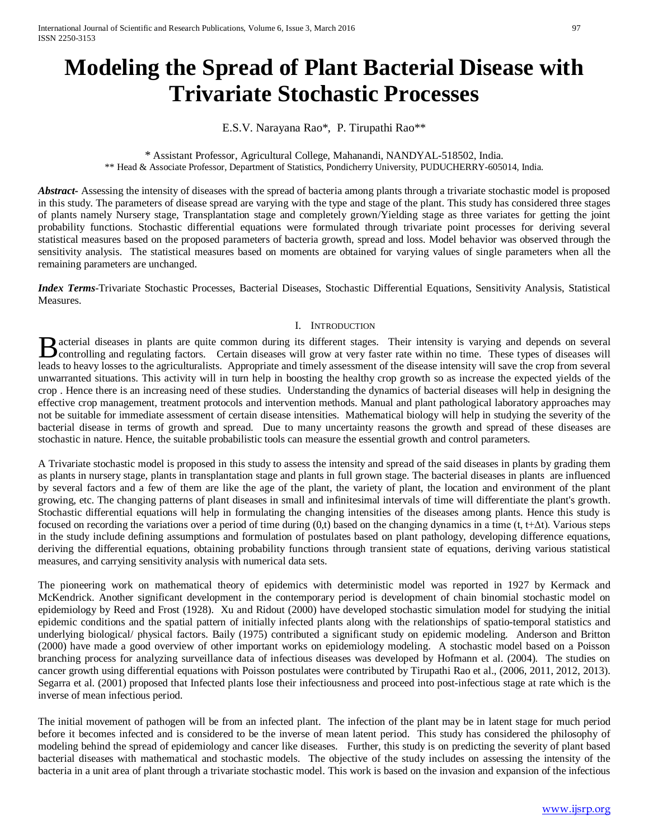# **Modeling the Spread of Plant Bacterial Disease with Trivariate Stochastic Processes**

E.S.V. Narayana Rao\*, P. Tirupathi Rao\*\*

# \* Assistant Professor, Agricultural College, Mahanandi, NANDYAL-518502, India. \*\* Head & Associate Professor, Department of Statistics, Pondicherry University, PUDUCHERRY-605014, India.

*Abstract* Assessing the intensity of diseases with the spread of bacteria among plants through a trivariate stochastic model is proposed in this study. The parameters of disease spread are varying with the type and stage of the plant. This study has considered three stages of plants namely Nursery stage, Transplantation stage and completely grown/Yielding stage as three variates for getting the joint probability functions. Stochastic differential equations were formulated through trivariate point processes for deriving several statistical measures based on the proposed parameters of bacteria growth, spread and loss. Model behavior was observed through the sensitivity analysis. The statistical measures based on moments are obtained for varying values of single parameters when all the remaining parameters are unchanged.

*Index Terms*-Trivariate Stochastic Processes, Bacterial Diseases, Stochastic Differential Equations, Sensitivity Analysis, Statistical Measures.

# I. INTRODUCTION

acterial diseases in plants are quite common during its different stages. Their intensity is varying and depends on several **B** acterial diseases in plants are quite common during its different stages. Their intensity is varying and depends on several controlling and regulating factors. Certain diseases will grow at very faster rate within no t leads to heavy losses to the agriculturalists. Appropriate and timely assessment of the disease intensity will save the crop from several unwarranted situations. This activity will in turn help in boosting the healthy crop growth so as increase the expected yields of the crop . Hence there is an increasing need of these studies. Understanding the dynamics of bacterial diseases will help in designing the effective crop management, treatment protocols and intervention methods. Manual and plant pathological laboratory approaches may not be suitable for immediate assessment of certain disease intensities. Mathematical biology will help in studying the severity of the bacterial disease in terms of growth and spread. Due to many uncertainty reasons the growth and spread of these diseases are stochastic in nature. Hence, the suitable probabilistic tools can measure the essential growth and control parameters.

A Trivariate stochastic model is proposed in this study to assess the intensity and spread of the said diseases in plants by grading them as plants in nursery stage, plants in transplantation stage and plants in full grown stage. The bacterial diseases in plants are influenced by several factors and a few of them are like the age of the plant, the variety of plant, the location and environment of the plant growing, etc. The changing patterns of plant diseases in small and infinitesimal intervals of time will differentiate the plant's growth. Stochastic differential equations will help in formulating the changing intensities of the diseases among plants. Hence this study is focused on recording the variations over a period of time during (0,t) based on the changing dynamics in a time (t, t+Δt). Various steps in the study include defining assumptions and formulation of postulates based on plant pathology, developing difference equations, deriving the differential equations, obtaining probability functions through transient state of equations, deriving various statistical measures, and carrying sensitivity analysis with numerical data sets.

The pioneering work on mathematical theory of epidemics with deterministic model was reported in 1927 by Kermack and McKendrick. Another significant development in the contemporary period is development of chain binomial stochastic model on epidemiology by Reed and Frost (1928). Xu and Ridout (2000) have developed stochastic simulation model for studying the initial epidemic conditions and the spatial pattern of initially infected plants along with the relationships of spatio-temporal statistics and underlying biological/ physical factors. Baily (1975) contributed a significant study on epidemic modeling. Anderson and Britton (2000) have made a good overview of other important works on epidemiology modeling. A stochastic model based on a Poisson branching process for analyzing surveillance data of infectious diseases was developed by Hofmann et al. (2004). The studies on cancer growth using differential equations with Poisson postulates were contributed by Tirupathi Rao et al., (2006, 2011, 2012, 2013). Segarra et al. (2001) proposed that Infected plants lose their infectiousness and proceed into post-infectious stage at rate which is the inverse of mean infectious period.

The initial movement of pathogen will be from an infected plant. The infection of the plant may be in latent stage for much period before it becomes infected and is considered to be the inverse of mean latent period. This study has considered the philosophy of modeling behind the spread of epidemiology and cancer like diseases. Further, this study is on predicting the severity of plant based bacterial diseases with mathematical and stochastic models. The objective of the study includes on assessing the intensity of the bacteria in a unit area of plant through a trivariate stochastic model. This work is based on the invasion and expansion of the infectious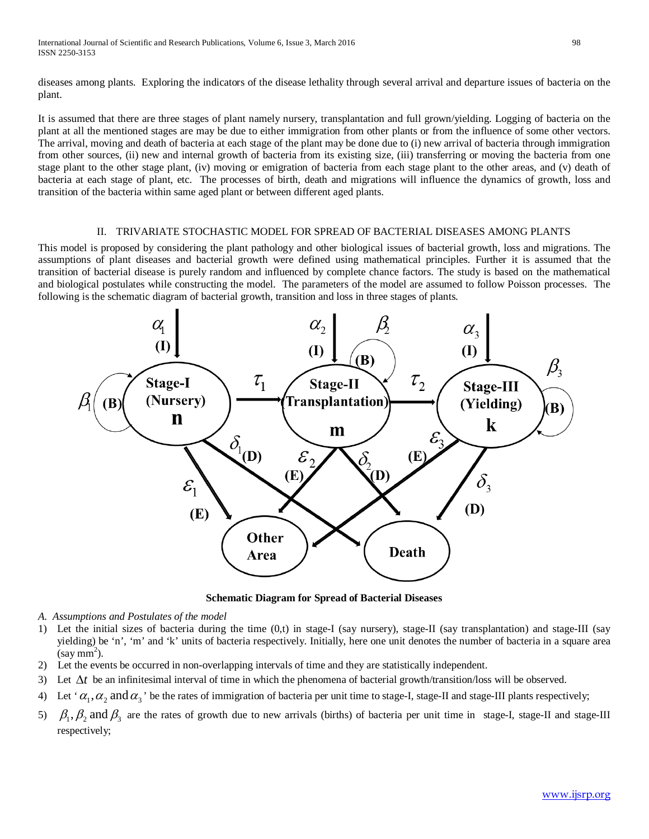diseases among plants. Exploring the indicators of the disease lethality through several arrival and departure issues of bacteria on the plant.

It is assumed that there are three stages of plant namely nursery, transplantation and full grown/yielding. Logging of bacteria on the plant at all the mentioned stages are may be due to either immigration from other plants or from the influence of some other vectors. The arrival, moving and death of bacteria at each stage of the plant may be done due to (i) new arrival of bacteria through immigration from other sources, (ii) new and internal growth of bacteria from its existing size, (iii) transferring or moving the bacteria from one stage plant to the other stage plant, (iv) moving or emigration of bacteria from each stage plant to the other areas, and (v) death of bacteria at each stage of plant, etc. The processes of birth, death and migrations will influence the dynamics of growth, loss and transition of the bacteria within same aged plant or between different aged plants.

### II. TRIVARIATE STOCHASTIC MODEL FOR SPREAD OF BACTERIAL DISEASES AMONG PLANTS

This model is proposed by considering the plant pathology and other biological issues of bacterial growth, loss and migrations. The assumptions of plant diseases and bacterial growth were defined using mathematical principles. Further it is assumed that the transition of bacterial disease is purely random and influenced by complete chance factors. The study is based on the mathematical and biological postulates while constructing the model. The parameters of the model are assumed to follow Poisson processes. The following is the schematic diagram of bacterial growth, transition and loss in three stages of plants.



**Schematic Diagram for Spread of Bacterial Diseases**

- *A. Assumptions and Postulates of the model*
- 1) Let the initial sizes of bacteria during the time  $(0,t)$  in stage-I (say nursery), stage-II (say transplantation) and stage-III (say yielding) be 'n', 'm' and 'k' units of bacteria respectively. Initially, here one unit denotes the number of bacteria in a square area  $(say \text{ mm}^2)$ .
- 2) Let the events be occurred in non-overlapping intervals of time and they are statistically independent.
- 3) Let ∆*t* be an infinitesimal interval of time in which the phenomena of bacterial growth/transition/loss will be observed.
- 4) Let ' $\alpha_1, \alpha_2$  and  $\alpha_3$ ' be the rates of immigration of bacteria per unit time to stage-I, stage-II and stage-III plants respectively;
- 5)  $\beta_1$ ,  $\beta_2$  and  $\beta_3$  are the rates of growth due to new arrivals (births) of bacteria per unit time in stage-I, stage-II and stage-III respectively;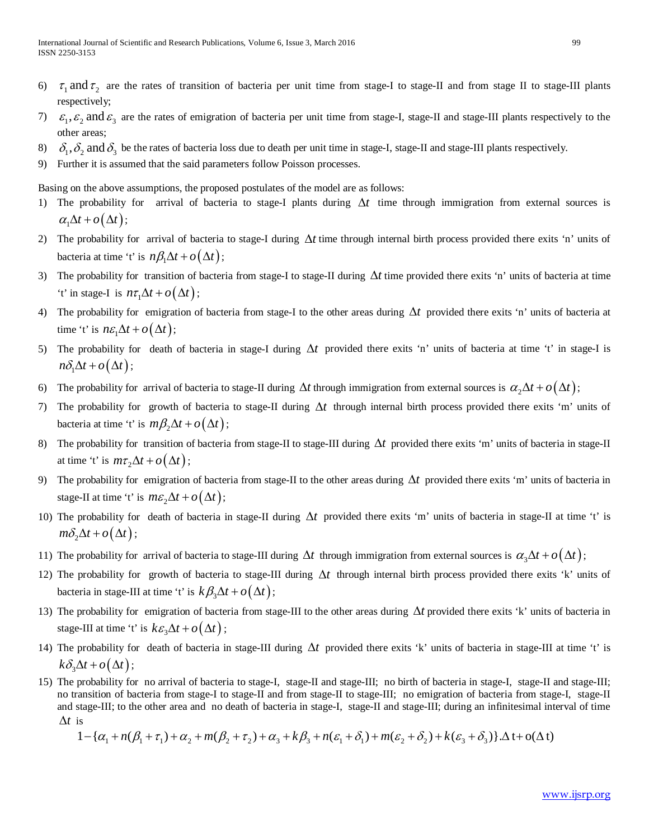- 6)  $\tau_1$  and  $\tau_2$  are the rates of transition of bacteria per unit time from stage-I to stage-II and from stage II to stage-III plants respectively;
- 7)  $\varepsilon_1$ ,  $\varepsilon_2$  and  $\varepsilon_3$  are the rates of emigration of bacteria per unit time from stage-I, stage-II and stage-III plants respectively to the other areas;
- 8)  $\delta_1$ ,  $\delta_2$  and  $\delta_3$  be the rates of bacteria loss due to death per unit time in stage-I, stage-II and stage-III plants respectively.
- 9) Further it is assumed that the said parameters follow Poisson processes.

Basing on the above assumptions, the proposed postulates of the model are as follows:

- 1) The probability for arrival of bacteria to stage-I plants during ∆*t* time through immigration from external sources is  $\alpha_1 \Delta t + o(\Delta t);$
- 2) The probability for arrival of bacteria to stage-I during ∆*t* time through internal birth process provided there exits 'n' units of bacteria at time 't' is  $n\beta_1\Delta t + o(\Delta t)$ ;
- 3) The probability for transition of bacteria from stage-I to stage-II during ∆*t* time provided there exits 'n' units of bacteria at time 't' in stage-I is  $n\tau_1 \Delta t + o(\Delta t)$ ;
- 4) The probability for emigration of bacteria from stage-I to the other areas during ∆*t* provided there exits 'n' units of bacteria at time 't' is  $n\varepsilon_1 \Delta t + o(\Delta t)$ ;
- 5) The probability for death of bacteria in stage-I during ∆*t* provided there exits 'n' units of bacteria at time 't' in stage-I is  $n\delta_1\Delta t + o(\Delta t)$ ;
- 6) The probability for arrival of bacteria to stage-II during  $\Delta t$  through immigration from external sources is  $\alpha_2\Delta t + o(\Delta t)$ ;
- 7) The probability for growth of bacteria to stage-II during ∆*t* through internal birth process provided there exits 'm' units of bacteria at time 't' is  $m\beta_2\Delta t + o(\Delta t)$ ;
- 8) The probability for transition of bacteria from stage-II to stage-III during ∆*t* provided there exits 'm' units of bacteria in stage-II at time 't' is  $m\tau_2\Delta t + o(\Delta t)$ ;
- 9) The probability for emigration of bacteria from stage-II to the other areas during ∆*t* provided there exits 'm' units of bacteria in stage-II at time 't' is  $m\epsilon_2\Delta t + o(\Delta t)$ ;
- 10) The probability for death of bacteria in stage-II during ∆*t* provided there exits 'm' units of bacteria in stage-II at time 't' is  $m\delta_2\Delta t + o(\Delta t)$ ;
- 11) The probability for arrival of bacteria to stage-III during  $\Delta t$  through immigration from external sources is  $\alpha_3 \Delta t + o(\Delta t)$ ;
- 12) The probability for growth of bacteria to stage-III during ∆*t* through internal birth process provided there exits 'k' units of bacteria in stage-III at time 't' is  $k \beta_3 \Delta t + o(\Delta t)$ ;
- 13) The probability for emigration of bacteria from stage-III to the other areas during ∆*t* provided there exits 'k' units of bacteria in stage-III at time 't' is  $k \varepsilon_3 \Delta t + o(\Delta t)$ ;
- 14) The probability for death of bacteria in stage-III during ∆*t* provided there exits 'k' units of bacteria in stage-III at time 't' is  $k\delta_{\alpha}\Delta t + o(\Delta t)$ ;
- 15) The probability for no arrival of bacteria to stage-I, stage-II and stage-III; no birth of bacteria in stage-I, stage-II and stage-III; no transition of bacteria from stage-I to stage-II and from stage-II to stage-III; no emigration of bacteria from stage-I, stage-II and stage-III; to the other area and no death of bacteria in stage-I, stage-II and stage-III; during an infinitesimal interval of time ∆*t* is

$$
1 - {\alpha_1 + n(\beta_1 + \tau_1) + \alpha_2 + m(\beta_2 + \tau_2) + \alpha_3 + k\beta_3 + n(\varepsilon_1 + \delta_1) + m(\varepsilon_2 + \delta_2) + k(\varepsilon_3 + \delta_3)}
$$
.  $\Delta t + o(\Delta t)$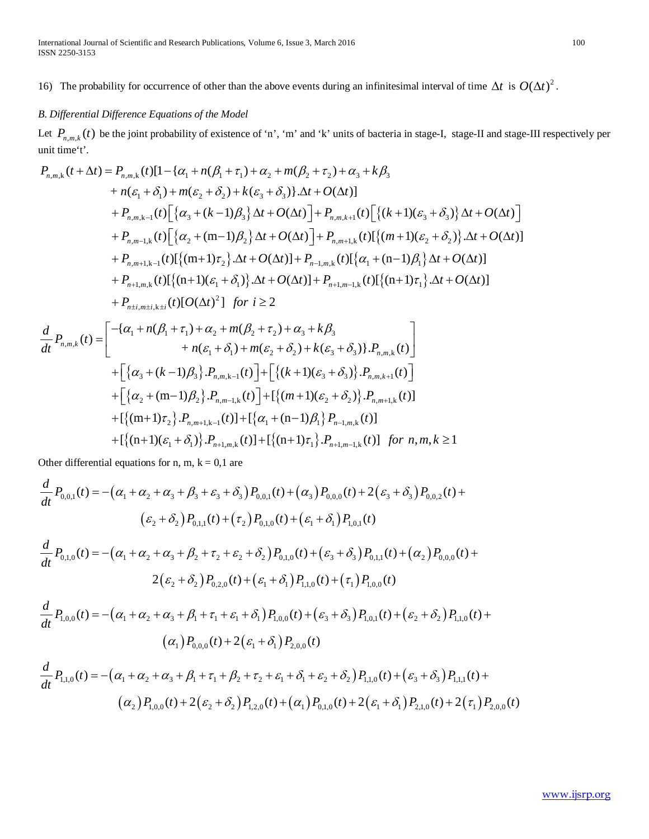16) The probability for occurrence of other than the above events during an infinitesimal interval of time  $\Delta t$  is  $O(\Delta t)^2$ .

# *B. Differential Difference Equations of the Model*

Let  $P_{n,m,k}(t)$  be the joint probability of existence of 'n', 'm' and 'k' units of bacteria in stage-I, stage-II and stage-III respectively per unit time't'.

$$
P_{n,m,k}(t + \Delta t) = P_{n,m,k}(t)[1 - {\alpha_1 + n(\beta_1 + \tau_1) + \alpha_2 + m(\beta_2 + \tau_2) + \alpha_3 + k\beta_3}\n+ n(\varepsilon_1 + \delta_1) + m(\varepsilon_2 + \delta_2) + k(\varepsilon_3 + \delta_3) \cdot \Delta t + O(\Delta t)]\n+ P_{n,m,k-1}(t)[{\alpha_3 + (k-1)\beta_3} \Delta t + O(\Delta t)] + P_{n,m,k+1}(t)[{\kappa+1)(\varepsilon_3 + \delta_3} \Delta t + O(\Delta t)]\n+ P_{n,m-1,k}(t)[{\alpha_2 + (m-1)\beta_2} \Delta t + O(\Delta t)] + P_{n,m+1,k}(t)[{\kappa+1)(\varepsilon_2 + \delta_2} \Delta t + O(\Delta t)]\n+ P_{n,m+1,k-1}(t)[{\kappa+1)\tau_2} \Delta t + O(\Delta t)] + P_{n-1,m,k}(t)[{\alpha_1 + (n-1)\beta_1} \Delta t + O(\Delta t)]\n+ P_{n+1,m,k}(t)[{\kappa+1)(\varepsilon_1 + \delta_1} \Delta t + O(\Delta t)] + P_{n+1,m-1,k}(t)[{\kappa+1)(\varepsilon_1 + \delta_1} \Delta t + O(\Delta t)]\n+ P_{n+1,m,k}(t)[O(\Delta t)^2] \text{ for } i \geq 2
$$
\n
$$
\frac{d}{dt} P_{n,m,k}(t) = \begin{bmatrix} -\{\alpha_1 + n(\beta_1 + \tau_1) + \alpha_2 + m(\beta_2 + \tau_2) + \alpha_3 + k\beta_3 \\ + n(\varepsilon_1 + \delta_1) + m(\varepsilon_2 + \delta_2) + k(\varepsilon_3 + \delta_3) \} \cdot P_{n,m,k}(t) \end{bmatrix} + \begin{bmatrix} {\alpha_3 + (k-1)\beta_3} \cdot P_{n,m,k-1}(t) \end{bmatrix} + \begin{bmatrix} {\kappa+1)(\varepsilon_3 + \delta_3} \cdot P_{n,m,k-1}(t) \end{bmatrix} + \begin{bmatrix} {\kappa+1)(\varepsilon_3 + \delta_3} \cdot P_{n,m,k-1}(t) \end{bmatrix} + \begin{bmatrix} {\kappa+1)(\varepsilon_3 + \delta_3} \Delta t + O(\Delta t) \Delta t + O(\Delta t) \Delta t +
$$

Other differential equations for n, m,  $k = 0,1$  are

$$
\frac{d}{dt}P_{0,0,1}(t) = -(\alpha_1 + \alpha_2 + \alpha_3 + \beta_3 + \varepsilon_3 + \delta_3) P_{0,0,1}(t) + (\alpha_3) P_{0,0,0}(t) + 2(\varepsilon_3 + \delta_3) P_{0,0,2}(t) + (\varepsilon_2 + \delta_2) P_{0,1,1}(t) + (\tau_2) P_{0,1,0}(t) + (\varepsilon_1 + \delta_1) P_{1,0,1}(t)
$$

$$
\frac{d}{dt}P_{0,1,0}(t) = -(\alpha_1 + \alpha_2 + \alpha_3 + \beta_2 + \tau_2 + \varepsilon_2 + \delta_2) P_{0,1,0}(t) + (\varepsilon_3 + \delta_3) P_{0,1,1}(t) + (\alpha_2) P_{0,0,0}(t) + 2(\varepsilon_2 + \delta_2) P_{0,2,0}(t) + (\varepsilon_1 + \delta_1) P_{1,1,0}(t) + (\tau_1) P_{1,0,0}(t)
$$

$$
\frac{d}{dt}P_{1,0,0}(t) = -(\alpha_1 + \alpha_2 + \alpha_3 + \beta_1 + \tau_1 + \varepsilon_1 + \delta_1) P_{1,0,0}(t) + (\varepsilon_3 + \delta_3) P_{1,0,1}(t) + (\varepsilon_2 + \delta_2) P_{1,1,0}(t) + (\alpha_1) P_{0,0,0}(t) + 2(\varepsilon_1 + \delta_1) P_{2,0,0}(t)
$$

$$
\frac{d}{dt}P_{1,1,0}(t) = -(\alpha_1 + \alpha_2 + \alpha_3 + \beta_1 + \tau_1 + \beta_2 + \tau_2 + \varepsilon_1 + \delta_1 + \varepsilon_2 + \delta_2) P_{1,1,0}(t) + (\varepsilon_3 + \delta_3) P_{1,1,1}(t) +
$$
\n
$$
(\alpha_2) P_{1,0,0}(t) + 2(\varepsilon_2 + \delta_2) P_{1,2,0}(t) + (\alpha_1) P_{0,1,0}(t) + 2(\varepsilon_1 + \delta_1) P_{2,1,0}(t) + 2(\tau_1) P_{2,0,0}(t)
$$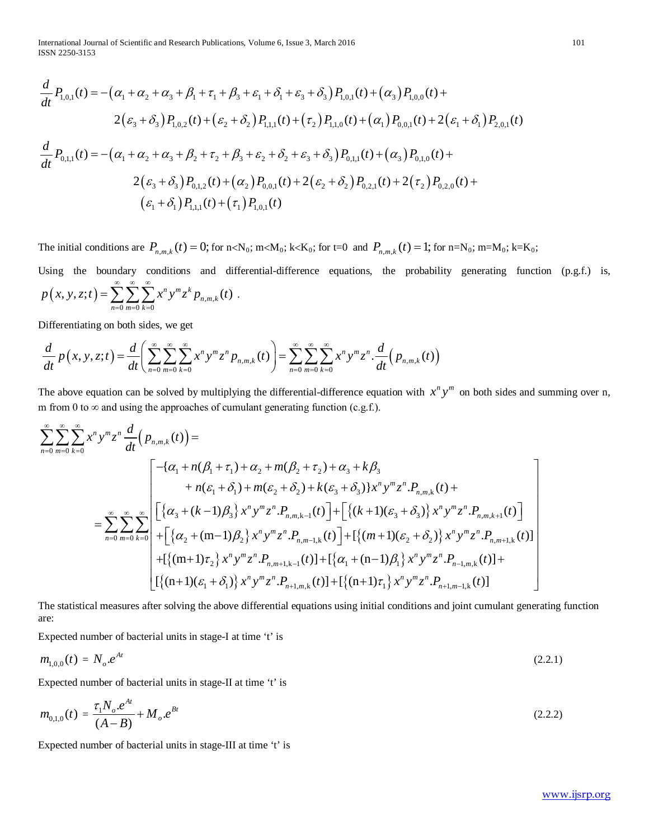International Journal of Scientific and Research Publications, Volume 6, Issue 3, March 2016 101 ISSN 2250-3153

$$
\frac{d}{dt}P_{1,0,1}(t) = -(\alpha_1 + \alpha_2 + \alpha_3 + \beta_1 + \tau_1 + \beta_3 + \varepsilon_1 + \delta_1 + \varepsilon_3 + \delta_3) P_{1,0,1}(t) + (\alpha_3) P_{1,0,0}(t) +
$$
\n
$$
2(\varepsilon_3 + \delta_3) P_{1,0,2}(t) + (\varepsilon_2 + \delta_2) P_{1,1,1}(t) + (\tau_2) P_{1,1,0}(t) + (\alpha_1) P_{0,0,1}(t) + 2(\varepsilon_1 + \delta_1) P_{2,0,1}(t)
$$
\n
$$
\frac{d}{dt}P_{0,1,1}(t) = -(\alpha_1 + \alpha_2 + \alpha_3 + \beta_2 + \tau_2 + \beta_3 + \varepsilon_2 + \delta_2 + \varepsilon_3 + \delta_3) P_{0,1,1}(t) + (\alpha_3) P_{0,1,0}(t) +
$$
\n
$$
2(\varepsilon_3 + \delta_3) P_{0,1,2}(t) + (\alpha_2) P_{0,0,1}(t) + 2(\varepsilon_2 + \delta_2) P_{0,2,1}(t) + 2(\tau_2) P_{0,2,0}(t) +
$$
\n
$$
(\varepsilon_1 + \delta_1) P_{1,1,1}(t) + (\tau_1) P_{1,0,1}(t)
$$

The initial conditions are  $P_{n,m,k}(t) = 0$ ; for  $n < N_0$ ;  $m < M_0$ ;  $k < K_0$ ; for  $t = 0$  and  $P_{n,m,k}(t) = 1$ ; for  $n = N_0$ ;  $m = M_0$ ;  $k = K_0$ ;

Using the boundary conditions and differential-difference equations, the probability generating function (p.g.f.) is,  $(x, y, z; t) = \sum \sum \sum x^n y^m z^k p_{n,m}$ 0  $m=0$   $k=0$  $(y, z; t) = \sum \sum \sum x^n y^m z^k p_{n,m,k}(t)$ *n*=0 *m*=0 *k*  $p(x, y, z; t) = \sum_{r} \sum_{r} \sum_{r} x^{n} y^{m} z^{k} p_{n, m, k}(t)$ ∞∞∞  $=\sum_{n=0}\sum_{m=0}\sum_{k=0}x^n y^m z^k p_{n,m,k}(t)$ .

Differentiating on both sides, we get

$$
\frac{d}{dt}p(x, y, z; t) = \frac{d}{dt}\left(\sum_{n=0}^{\infty}\sum_{m=0}^{\infty}\sum_{k=0}^{\infty}x^{n}y^{m}z^{n}p_{n,m,k}(t)\right) = \sum_{n=0}^{\infty}\sum_{m=0}^{\infty}\sum_{k=0}^{\infty}x^{n}y^{m}z^{n} \cdot \frac{d}{dt}\left(p_{n,m,k}(t)\right)
$$

The above equation can be solved by multiplying the differential-difference equation with  $x^n y^m$  on both sides and summing over n, m from 0 to  $\infty$  and using the approaches of cumulant generating function (c.g.f.).

$$
\sum_{n=0}^{\infty} \sum_{m=0}^{\infty} \sum_{k=0}^{\infty} x^n y^m z^n \frac{d}{dt} (p_{n,m,k}(t)) =
$$
\n
$$
= \sum_{n=0}^{\infty} \sum_{m=0}^{\infty} \sum_{k=0}^{\infty} \left[ \left\{ \alpha_1 + n(\beta_1 + \tau_1) + \alpha_2 + m(\beta_2 + \tau_2) + \alpha_3 + k\beta_3 + n(\epsilon_1 + \delta_1) + m(\epsilon_2 + \delta_2) + k(\epsilon_3 + \delta_3) \right\} x^n y^m z^n P_{n,m,k}(t) + \right. \\ = \sum_{n=0}^{\infty} \sum_{m=0}^{\infty} \sum_{k=0}^{\infty} \left[ \left\{ \alpha_3 + (k-1)\beta_3 \right\} x^n y^m z^n P_{n,m,k-1}(t) \right] + \left[ \left\{ (k+1)(\epsilon_3 + \delta_3) \right\} x^n y^m z^n P_{n,m,k+1}(t) \right] \\ + \left[ \left\{ \alpha_2 + (m-1)\beta_2 \right\} x^n y^m z^n P_{n,m-1,k}(t) \right] + \left[ \left\{ (m+1)(\epsilon_2 + \delta_2) \right\} x^n y^m z^n P_{n,m+1,k}(t) \right] \\ + \left[ \left\{ (m+1)\tau_2 \right\} x^n y^m z^n P_{n,m+1,k-1}(t) \right] + \left[ \left\{ \alpha_1 + (n-1)\beta_1 \right\} x^n y^m z^n P_{n-1,m,k}(t) \right] + \left[ \left\{ (n+1)(\epsilon_1 + \delta_1) \right\} x^n y^m z^n P_{n-1,m-1,k}(t) \right]
$$

The statistical measures after solving the above differential equations using initial conditions and joint cumulant generating function are:

Expected number of bacterial units in stage-I at time 't' is

$$
m_{1,0,0}(t) = N_o e^{At} \tag{2.2.1}
$$

Expected number of bacterial units in stage-II at time 't' is

$$
m_{0,1,0}(t) = \frac{\tau_1 N_o e^{At}}{(A-B)} + M_o e^{Bt}
$$
\n(2.2.2)

Expected number of bacterial units in stage-III at time 't' is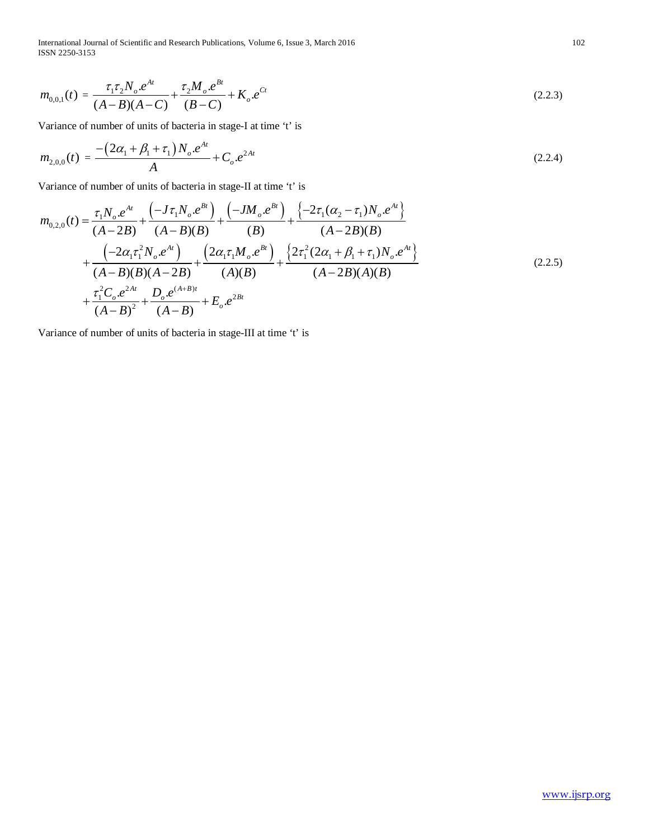International Journal of Scientific and Research Publications, Volume 6, Issue 3, March 2016 102 ISSN 2250-3153

$$
m_{0,0,1}(t) = \frac{\tau_1 \tau_2 N_o \cdot e^{At}}{(A-B)(A-C)} + \frac{\tau_2 M_o \cdot e^{Bt}}{(B-C)} + K_o \cdot e^{Ct}
$$
\n(2.2.3)

Variance of number of units of bacteria in stage-I at time 't' is

$$
m_{2,0,0}(t) = \frac{-\left(2\alpha_1 + \beta_1 + \tau_1\right)N_o \cdot e^{At}}{A} + C_o \cdot e^{2At} \tag{2.2.4}
$$

Variance of number of units of bacteria in stage-II at time 't' is

$$
m_{0,2,0}(t) = \frac{\tau_1 N_o e^{At}}{(A-2B)} + \frac{\left(-J\tau_1 N_o e^{Bt}\right)}{(A-B)(B)} + \frac{\left(-JM_o e^{Bt}\right)}{(B)} + \frac{\left\{-2\tau_1(\alpha_2 - \tau_1)N_o e^{At}\right\}}{(A-2B)(B)} + \frac{\left(-2\alpha_1 \tau_1^2 N_o e^{At}\right)}{(A-B)(B)(A-2B)} + \frac{\left(2\alpha_1 \tau_1 M_o e^{Bt}\right)}{(A)(B)} + \frac{\left\{2\tau_1^2(2\alpha_1 + \beta_1 + \tau_1)N_o e^{At}\right\}}{(A-2B)(A)(B)} + \frac{\tau_1^2 C_o e^{2At}}{(A-B)^2} + \frac{D_o e^{(A+B)t}}{(A-B)} + E_o e^{2Bt}
$$
\n(2.2.5)

Variance of number of units of bacteria in stage-III at time 't' is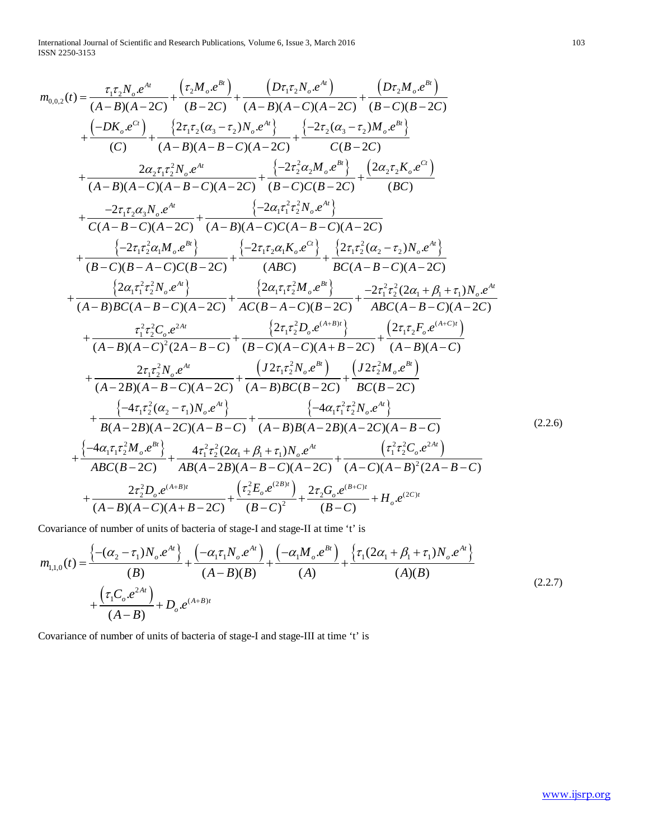International Journal of Scientific and Research Publications, Volume 6, Issue 3, March 2016 103 ISSN 2250-3153

$$
m_{0,0,2}(t) = \frac{\tau_{1}\tau_{2}N_{e}e^{At}}{(A-B)(A-CC)} + \frac{(\tau_{2}M_{e}e^{Bt})}{(B-CC)} + \frac{(D\tau_{1}\tau_{2}N_{e}e^{At})}{(A-B)(A-C)(A-C)} + \frac{(D\tau_{2}M_{e}e^{Bt})}{(C)} + \frac{2\tau_{1}\tau_{2}(a_{3}-\tau_{2})N_{e}e^{At}}{A-B)(A-B-C)(A-2C)} + \frac{(-2\tau_{2}(a_{3}-\tau_{2})M_{e}e^{Bt})}{C(B-2C)}
$$
\n
$$
+ \frac{2\alpha_{2}\tau_{1}\tau_{2}^{2}N_{e}e^{At}}{(A-B)(A-C)(A-B-C)(A-2C)} + \frac{(-2\tau_{2}^{2}\alpha_{2}M_{e}e^{Bt})}{(B-C)(B-2C)} + \frac{(2\alpha_{2}\tau_{2}K_{e}e^{Ct})}{(BC)}
$$
\n
$$
+ \frac{-2\tau_{1}\tau_{2}\alpha_{3}N_{e}e^{At}}{C(A-B-C)(A-2C)} + \frac{(-2\alpha_{1}\tau_{1}^{2}\tau_{2}^{2}N_{e}e^{At})}{(A-B)(A-C)(C(A-B-C)(A-2C)}
$$
\n
$$
+ \frac{(-2\tau_{1}\tau_{2}^{2}\alpha_{1}M_{e}e^{Bt})}{(B-C)(B-A-C)(B-2C)} + \frac{(-2\tau_{1}\tau_{2}^{2}N_{e}e^{Ct})}{(ABC)} + \frac{2(\tau_{1}\tau_{2}^{2}(a_{2}-\tau_{2})N_{e}e^{At})}{B(C(A-B-C)(A-2C)}
$$
\n
$$
+ \frac{2\alpha_{1}\tau_{1}^{2}\tau_{2}^{2}N_{e}e^{At}}{(A-B)BC(A-B-C)(A-2C)} + \frac{2\alpha_{1}\tau_{1}^{2}N_{e}e^{Bt})}{A(C(B-A-C)(B-2C)} + \frac{2\tau_{1}^{2}\tau_{2}^{2}(2\alpha_{1}+\beta_{1}+\tau_{1})N_{e}e^{At}}{(A-B)BC(A-B-C)(A-2C)} + \frac{2\tau_{1}^{2}\tau_{2}^{2}C_{e}e^{At}}{(A-B)(A-C)^{2}(2A-B-C)} + \frac{2\tau_{1}^{2}\tau_{2}^{2}N
$$

Covariance of number of units of bacteria of stage-I and stage-II at time 't' is

$$
m_{1,1,0}(t) = \frac{\left\{-(\alpha_2 - \tau_1)N_o \cdot e^{At}\right\}}{(B)} + \frac{\left(-\alpha_1 \tau_1 N_o \cdot e^{At}\right)}{(A-B)(B)} + \frac{\left(-\alpha_1 M_o \cdot e^{Bt}\right)}{(A)} + \frac{\left\{\tau_1 (2\alpha_1 + \beta_1 + \tau_1)N_o \cdot e^{At}\right\}}{(A)(B)} + \frac{\left(\tau_1 C_o \cdot e^{2At}\right)}{(A-B)} + D_o \cdot e^{(A+B)t}
$$
\n(2.2.7)

Covariance of number of units of bacteria of stage-I and stage-III at time 't' is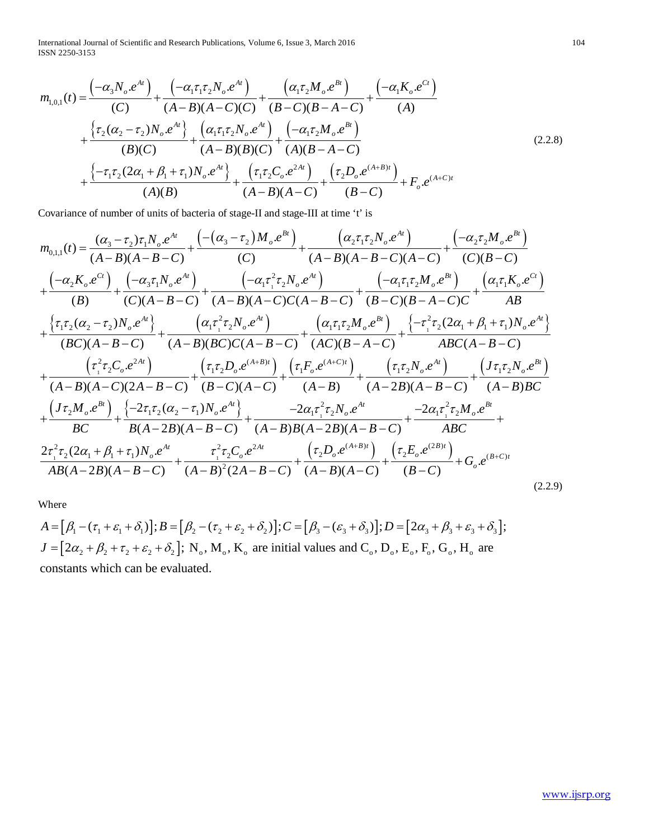International Journal of Scientific and Research Publications, Volume 6, Issue 3, March 2016 104 ISSN 2250-3153

$$
m_{1,0,1}(t) = \frac{(-\alpha_3 N_o \cdot e^{At})}{(C)} + \frac{(-\alpha_1 \tau_1 \tau_2 N_o \cdot e^{At})}{(A - B)(A - C)(C)} + \frac{(\alpha_1 \tau_2 M_o \cdot e^{Bt})}{(B - C)(B - A - C)} + \frac{(-\alpha_1 K_o \cdot e^{Ct})}{(A)}
$$
  
+ 
$$
\frac{\{\tau_2(\alpha_2 - \tau_2)N_o \cdot e^{At}\}}{(B)(C)} + \frac{(\alpha_1 \tau_1 \tau_2 N_o \cdot e^{At})}{(A - B)(B)(C)} + \frac{(-\alpha_1 \tau_2 M_o \cdot e^{Bt})}{(A)(B - A - C)}
$$
  
+ 
$$
\frac{\{-\tau_1 \tau_2(2\alpha_1 + \beta_1 + \tau_1)N_o \cdot e^{At}\}}{(A)(B)} + \frac{(\tau_1 \tau_2 C_o \cdot e^{2At})}{(A - B)(A - C)} + \frac{(\tau_2 D_o \cdot e^{(A + B)t})}{(B - C)} + F_o \cdot e^{(A + C)t}
$$
  
(A)

Covariance of number of units of bacteria of stage-II and stage-III at time 't' is

$$
m_{0,1,1}(t) = \frac{(\alpha_{3}-\tau_{2})\tau_{1}N_{o}.e^{At}}{(A-B)(A-B-C)} + \frac{(-(\alpha_{3}-\tau_{2})M_{o}.e^{Bt})}{(C)} + \frac{(\alpha_{2}\tau_{1}\tau_{2}N_{o}.e^{At})}{(A-B)(A-B-C)(A-C)} + \frac{(-\alpha_{2}\tau_{2}M_{o}.e^{Bt})}{(C)(B-C)}
$$
  
+ 
$$
\frac{(-\alpha_{3}K_{o}.e^{Ct})}{(B)} + \frac{(-\alpha_{3}\tau_{1}N_{o}.e^{At})}{(C)(A-B-C)} + \frac{(-\alpha_{1}\tau_{1}^{2}\tau_{2}N_{o}.e^{At})}{(A-B)(A-C)(C(A-B-C)} + \frac{(-\alpha_{1}\tau_{1}\tau_{2}M_{o}.e^{Bt})}{(B-C)(B-A-C)} + \frac{(\alpha_{1}\tau_{1}K_{o}.e^{Ct})}{AB}
$$
  
+ 
$$
\frac{\{\tau_{1}\tau_{2}(\alpha_{2}-\tau_{2})N_{o}.e^{At}\}}{(BC)(A-B-C)} + \frac{(\alpha_{1}\tau_{1}^{2}\tau_{2}N_{o}.e^{At})}{(A-B)(BC)(C(A-B-C)} + \frac{(\alpha_{1}\tau_{1}\tau_{2}M_{o}.e^{Bt})}{(AC)(B-A-C)} + \frac{\{\tau_{1}^{2}\tau_{2}(2\alpha_{1}+\beta_{1}+\tau_{1})N_{o}.e^{At}\}}{(BC)(A-B-C)} + \frac{(\tau_{1}^{2}\tau_{2}C_{o}.e^{2At})}{(A-B)(A-C)(2A-B-C)} + \frac{(\tau_{1}\tau_{2}D_{o}.e^{(A+B)t})}{(B-C)(A-C)} + \frac{(\tau_{1}F_{o}.e^{(A+C)t})}{(A-B)} + \frac{(\tau_{1}\tau_{2}N_{o}.e^{At})}{(A-2B)(A-B-C)} + \frac{(\tau_{1}\tau_{2}N_{o}.e^{Bt})}{(A-B)BC}
$$
  
+ 
$$
\frac{(\tau_{1}\tau_{2}M_{o}.e^{Bt})}{BC} + \frac{\{-2\tau_{1}\tau_{2}(\alpha_{2}-\tau_{1})N_{o}.e^{At}\}}{B(A-2B)(A-B-C)} + \frac{-2\alpha_{1}\tau_{1}^{2}\tau_{2}N_{o}.e^{At}}{A(B-A-B)(A-B-C)} + \frac{-2\alpha_{1}\tau_{1
$$

Where

$$
A = [\beta_1 - (\tau_1 + \varepsilon_1 + \delta_1)]; B = [\beta_2 - (\tau_2 + \varepsilon_2 + \delta_2)]; C = [\beta_3 - (\varepsilon_3 + \delta_3)]; D = [2\alpha_3 + \beta_3 + \varepsilon_3 + \delta_3];
$$
  
\n
$$
J = [2\alpha_2 + \beta_2 + \tau_2 + \varepsilon_2 + \delta_2]; N_o, M_o, K_o \text{ are initial values and } C_o, D_o, E_o, F_o, G_o, H_o \text{ are constants which can be evaluated.}
$$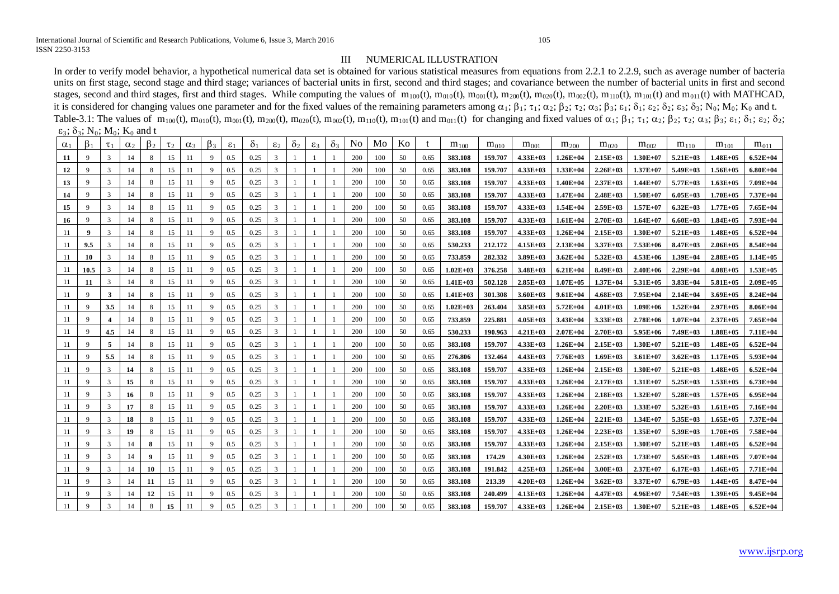### III NUMERICAL ILLUSTRATION

In order to verify model behavior, a hypothetical numerical data set is obtained for various statistical measures from equations from 2.2.1 to 2.2.9, such as average number of bacteria units on first stage, second stage and third stage; variances of bacterial units in first, second and third stages; and covariance between the number of bacterial units in first and second stages, second and third stages, first and third stages. While computing the values of  $m_{100}(t)$ ,  $m_{010}(t)$ ,  $m_{001}(t)$ ,  $m_{200}(t)$ ,  $m_{020}(t)$ ,  $m_{101}(t)$ ,  $m_{101}(t)$  and  $m_{011}(t)$  with MATHCAD, it is considered for changing values one parameter and for the fixed values of the remaining parameters among  $\alpha_1$ ;  $\beta_1$ ;  $\tau_1$ ;  $\alpha_2$ ;  $\beta_2$ ;  $\tau_2$ ;  $\alpha_3$ ;  $\beta_3$ ;  $\epsilon_1$ ;  $\delta_1$ ;  $\epsilon_2$ ;  $\delta_2$ ;  $\epsilon_3$ ;  $\delta_3$ ; Table-3.1: The values of  $m_{100}(t)$ ,  $m_{010}(t)$ ,  $m_{001}(t)$ ,  $m_{200}(t)$ ,  $m_{020}(t)$ ,  $m_{002}(t)$ ,  $m_{110}(t)$ ,  $m_{101}(t)$  and  $m_{011}(t)$  for changing and fixed values of  $\alpha_1$ ;  $\beta_1$ ;  $\tau_1$ ;  $\alpha_2$ ;  $\beta_2$ ;  $\tau_2$ ;  $\alpha_3$  $\varepsilon_3$ ;  $\delta_3$ ; N<sub>0</sub>; M<sub>0</sub>; K<sub>0</sub> and t

| $\alpha_1$ | $\beta_1$    | $\tau_1$      | $\alpha_2$ | $\beta_2$ | $\tau_2$ | $\alpha_3$ | $\beta_3$ | $\varepsilon_1$ | $\delta_1$ | $\varepsilon_2$ | $\delta_2$ | $\varepsilon_3$ | $\delta_3$ | N <sub>0</sub> | Mo  | Ko |      | $m_{100}$    | $m_{010}$ | $m_{001}$    | $m_{200}$     | $m_{020}$    | $m_{002}$    | $m_{110}$    | $m_{101}$     | $m_{011}$    |
|------------|--------------|---------------|------------|-----------|----------|------------|-----------|-----------------|------------|-----------------|------------|-----------------|------------|----------------|-----|----|------|--------------|-----------|--------------|---------------|--------------|--------------|--------------|---------------|--------------|
| -11        | $\mathbf{Q}$ | 3             | 14         | 8         | 15       | 11         | 9         | 0.5             | 0.25       | 3               |            |                 |            | 200            | 100 | 50 | 0.65 | 383.108      | 159.707   | $4.33E+03$   | $1.26E + 04$  | $2.15E+03$   | $1.30E+07$   | $5.21E+03$   | $1.48E + 0.5$ | $6.52E+04$   |
| 12         | $\mathbf{Q}$ | 3             | 14         | 8         | 15       | 11         | 9         | $0.5^{\circ}$   | 0.25       | 3               |            |                 |            | 200            | 100 | 50 | 0.65 | 383.108      | 159.707   | $4.33E+03$   | $1.33E+04$    | $2.26E+03$   | $1.37E+07$   | $5.49E+03$   | $1.56E+0.5$   | $6.80E + 04$ |
| 13         | $\mathbf{Q}$ | 3             | 14         | 8         | 15       | 11         | 9         | 0.5             | 0.25       | 3               |            |                 |            | 200            | 100 | 50 | 0.65 | 383.108      | 159.707   | $4.33E+03$   | $1.40E + 04$  | $2.37E+03$   | $1.44E+07$   | $5.77E+03$   | $1.63E+05$    | 7.09E+04     |
| 14         | $\mathbf{Q}$ | 3             | 14         | 8         | 15       | 11         |           | $0.5^{\circ}$   | 0.25       | 3               |            |                 |            | 200            | 100 | 50 | 0.65 | 383.108      | 159.707   | $4.33E+03$   | $1.47E + 04$  | $2.48E+03$   | $1.50E+07$   | $6.05E+03$   | $1.70E + 0.5$ | 7.37E+04     |
| 15         | 9            | 3             | 14         | 8         | 15       | 11         |           | 0.5             | 0.25       | 3               |            |                 |            | 200            | 100 | 50 | 0.65 | 383.108      | 159.707   | $4.33E+03$   | $1.54E + 04$  | $2.59E+03$   | $1.57E+07$   | $6.32E+03$   | $1.77E + 0.5$ | $7.65E+04$   |
| 16         | $\mathbf{Q}$ | 3             | 14         | 8         | 15       | 11         | 9         | $0.5^{\circ}$   | 0.25       | 3               |            |                 |            | 200            | 100 | 50 | 0.65 | 383.108      | 159.707   | $4.33E+03$   | $1.61E + 04$  | $2.70E+03$   | $1.64E+07$   | $6.60E + 03$ | $1.84E+0.5$   | 7.93E+04     |
| 11         | -9           |               | 14         | -8        | 15       | 11         |           | 0.5             | 0.25       | 3               |            |                 |            | 200            | 100 | 50 | 0.65 | 383.108      | 159.707   | $4.33E+03$   | $1.26E + 04$  | $2.15E+03$   | $1.30E+07$   | $5.21E+03$   | $1.48E + 0.5$ | $6.52E+04$   |
| -11        | 9.5          | 3             | 14         | 8         | 15       | 11         |           | 0.5             | 0.25       | 3               |            |                 |            | 200            | 100 | 50 | 0.65 | 530.233      | 212.172   | $4.15E+03$   | $2.13E+04$    | $3.37E+03$   | $7.53E+06$   | $8.47E+03$   | $2.06E+0.5$   | $8.54E + 04$ |
| -11        | 10           |               |            |           | 15       |            |           | $0.5^{\circ}$   | 0.25       | $\mathcal{R}$   |            |                 |            | 200            | 100 | 50 | 0.65 | 733.859      | 282.332   | $3.89E+03$   | $3.62E + 04$  | $5.32E+03$   | $4.53E+06$   | $1.39E+04$   | $2.88E+0.5$   | $1.14E+05$   |
| 11         | 10.5         | 3             | 14         | 8         | 15       | 11         | 9         | 0.5             | 0.25       | 3               |            |                 |            | 200            | 100 | 50 | 0.65 | $1.02E+03$   | 376.258   | $3.48E + 03$ | $6.21E + 04$  | $8.49E+03$   | $2.40E + 06$ | $2.29E+04$   | $4.08E + 0.5$ | $1.53E+05$   |
| -11        | 11           | 3             | 14         | 8         | 15       | -11        |           | 0.5             | 0.25       | 3               |            |                 |            | 200            | 100 | 50 | 0.65 | $1.41E+03$   | 502.128   | $2.85E+03$   | $1.07E + 0.5$ | $1.37E+04$   | $5.31E+0.5$  | $3.83E+04$   | $5.81E+0.5$   | $2.09E+05$   |
| 11         | 9            | 3             | 14         | 8         | 15       | 11         | 9         | 0.5             | 0.25       | 3               |            |                 |            | 200            | 100 | 50 | 0.65 | $1.41E+03$   | 301.308   | $3.60E + 03$ | $9.61E + 04$  | $4.68E + 03$ | 7.95E+04     | $2.14E+04$   | $3.69E + 05$  | $8.24E+04$   |
| -11        | $\mathbf{Q}$ | 3.5           | 14         |           | 15       | 11         |           | 0.5             | 0.25       | 3               |            |                 |            | 200            | 100 | 50 | 0.65 | $1.02E + 03$ | 263.404   | $3.85E+03$   | $5.72E+04$    | $4.01E+03$   | $1.09E + 06$ | $1.52E + 04$ | $2.97E+0.5$   | $8.06E + 04$ |
| 11         | 9            |               | 14         | 8         | 15       | 11         | 9         | 0.5             | 0.25       | $\mathcal{R}$   |            |                 |            | 200            | 100 | 50 | 0.65 | 733.859      | 225.881   | $4.05E+03$   | $3.43E+04$    | $3.33E+03$   | $2.78E + 06$ | $1.07E + 04$ | $2.37E+0.5$   | $7.65E+04$   |
| 11         | $\mathbf{Q}$ | 4.5           | 14         | 8         | 15       | 11         |           | 0.5             | 0.25       | 3               |            |                 |            | 200            | 100 | 50 | 0.65 | 530.233      | 190.963   | $4.21E+03$   | $2.07E + 04$  | $2.70E+03$   | $5.95E+06$   | $7.49E+03$   | $1.88E + 0.5$ | $7.11E+04$   |
| 11         | 9            | 5             | 14         | 8         | 15       | 11         | 9         | $0.5^{\circ}$   | 0.25       | 3               |            |                 |            | 200            | 100 | 50 | 0.65 | 383.108      | 159.707   | $4.33E+03$   | $1.26E + 04$  | $2.15E+03$   | $1.30E + 07$ | $5.21E+03$   | $1.48E+05$    | $6.52E+04$   |
| -11        | 9            | 5.5           | 14         | 8         | 15       | 11         |           | 0.5             | 0.25       | 3               |            |                 |            | 200            | 100 | 50 | 0.65 | 276.806      | 132.464   | $4.43E+03$   | $7.76E+03$    | $1.69E+03$   | $3.61E+07$   | $3.62E+03$   | $1.17E + 0.5$ | $5.93E+04$   |
| -11        | 9            | 3             | 14         | 8         | 15       | -11        | 9         | $0.5^{\circ}$   | 0.25       | 3               |            |                 |            | 200            | 100 | 50 | 0.65 | 383.108      | 159.707   | $4.33E+03$   | $1.26E + 04$  | $2.15E+03$   | $1.30E + 07$ | $5.21E+03$   | $1.48E+05$    | $6.52E+04$   |
| -11        | 9            | 3             | 15         | 8         | 15       | -11        |           | 0.5             | 0.25       | 3               |            |                 |            | 200            | 100 | 50 | 0.65 | 383.108      | 159.707   | $4.33E+03$   | $1.26E + 04$  | $2.17E+03$   | $1.31E+07$   | $5.25E+03$   | $1.53E+05$    | $6.73E+04$   |
| -11        | 9            | 3             | 16         | 8         | 15       | -11        | 9         | 0.5             | 0.25       | 3               |            |                 |            | 200            | 100 | 50 | 0.65 | 383.108      | 159.707   | $4.33E+03$   | $1.26E+04$    | $2.18E+03$   | $1.32E+07$   | $5.28E+03$   | $1.57E+0.5$   | $6.95E+04$   |
| -11        | 9            | 3             | 17         | 8         | 15       | -11        |           | 0.5             | 0.25       | 3               |            |                 |            | 200            | 100 | 50 | 0.65 | 383.108      | 159.707   | $4.33E+03$   | $1.26E + 04$  | $2.20E+03$   | $1.33E+07$   | $5.32E+03$   | $1.61E+05$    | 7.16E+04     |
| -11        | 9            | 3             | 18         | 8         | 15       | -11        | 9         | 0.5             | 0.25       | 3               |            |                 |            | 200            | 100 | 50 | 0.65 | 383.108      | 159.707   | $4.33E+03$   | $1.26E + 04$  | $2.21E+03$   | $1.34E+07$   | $5.35E+03$   | $1.65E+05$    | $7.37E + 04$ |
| -11        | 9            | 3             | 19         | 8         | 15       | -11        | 9         | 0.5             | 0.25       | 3               |            |                 |            | 200            | 100 | 50 | 0.65 | 383.108      | 159.707   | $4.33E+03$   | $1.26E + 04$  | $2.23E+03$   | $1.35E+07$   | $5.39E+03$   | $1.70E + 0.5$ | 7.58E+04     |
| -11        | 9            | 3             | 14         | 8         | 15       | -11        | 9         | 0.5             | 0.25       | 3               |            |                 |            | 200            | 100 | 50 | 0.65 | 383.108      | 159.707   | $4.33E+03$   | $1.26E + 04$  | $2.15E+03$   | $1.30E+07$   | $5.21E+03$   | $1.48E + 0.5$ | $6.52E+04$   |
| -11        | 9            | 3             | 14         | 9         | 15       | -11        | 9         | 0.5             | 0.25       | 3               |            |                 |            | 200            | 100 | 50 | 0.65 | 383.108      | 174.29    | $4.30E+03$   | $1.26E + 04$  | $2.52E+03$   | $1.73E+07$   | $5.65E+03$   | $1.48E+05$    | 7.07E+04     |
| -11        | 9            | 3             | 14         | 10        | 15       | -11        | 9         | 0.5             | 0.25       | 3               |            |                 |            | 200            | 100 | 50 | 0.65 | 383.108      | 191.842   | $4.25E+03$   | $1.26E + 04$  | $3.00E + 03$ | $2.37E+07$   | $6.17E+03$   | $1.46E+05$    | 7.71E+04     |
| -11        | 9            | 3             | 14         | 11        | 15       | -11        | 9         | 0.5             | 0.25       | 3               |            |                 |            | 200            | 100 | 50 | 0.65 | 383.108      | 213.39    | $4.20E + 03$ | $1.26E + 04$  | $3.62E+03$   | $3.37E+07$   | $6.79E+03$   | $1.44E+0.5$   | $8.47E + 04$ |
| 11         | $\mathbf{Q}$ | 3             | 14         | 12        | 15       | -11        |           | 0.5             | 0.25       | 3               |            |                 |            | 200            | 100 | 50 | 0.65 | 383.108      | 240.499   | $4.13E+03$   | $1.26E + 04$  | $4.47E+03$   | $4.96E+07$   | $7.54E+03$   | $1.39E+05$    | $9.45E + 04$ |
| 11         | 9            | $\mathcal{R}$ | 14         | 8         | 15       | -11        | 9         | 0.5             | 0.25       | 3               |            |                 |            | 200            | 100 | 50 | 0.65 | 383.108      | 159.707   | $4.33E+03$   | $1.26E + 04$  | $2.15E+03$   | $1.30E + 07$ | $5.21E+03$   | $1.48E+05$    | $6.52E+04$   |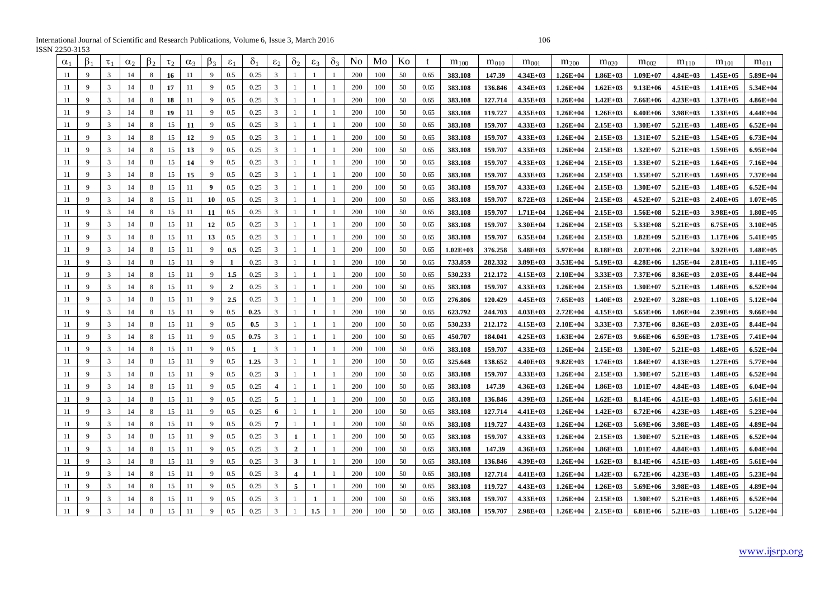International Journal of Scientific and Research Publications, Volume 6, Issue 3, March 2016 106 ISSN 2250-3153

| $\alpha_1$ | $\beta_1$    | $\tau_1$      | $\alpha_2$ | ß2 | $\tau$ | $\alpha_3$ | $\beta_3$    | $\varepsilon_1$ | $\delta_1$ | $\varepsilon$           | δ,                      | $\varepsilon$ | $\delta$ | No  | Mo  | Ko | t    | $m_{100}$    | $m_{010}$ | $m_{001}$    | $m_{200}$    | $m_{020}$    | $m_{002}$    | $m_{110}$    | $m_{101}$     | $m_{011}$     |
|------------|--------------|---------------|------------|----|--------|------------|--------------|-----------------|------------|-------------------------|-------------------------|---------------|----------|-----|-----|----|------|--------------|-----------|--------------|--------------|--------------|--------------|--------------|---------------|---------------|
| 11         | 9            | $\mathcal{R}$ | 14         | 8  | 16     | 11         | 9            | 0.5             | 0.25       | 3                       |                         |               |          | 200 | 100 | 50 | 0.65 | 383.108      | 147.39    | $4.34E+03$   | $1.26E + 04$ | $1.86E+03$   | $1.09E + 07$ | $4.84E+03$   | $1.45E+05$    | 5.89E+04      |
| 11         | 9            | 3             | 14         | 8  | 17     | 11         | 9            | 0.5             | 0.25       | 3                       |                         |               |          | 200 | 100 | 50 | 0.65 | 383.108      | 136.846   | $4.34E+03$   | $1.26E + 04$ | $1.62E+03$   | $9.13E + 06$ | $4.51E+03$   | $1.41E+05$    | 5.34E+04      |
| 11         | 9            | 3             | 14         | 8  | 18     | 11         | 9            | 0.5             | 0.25       | 3                       |                         |               |          | 200 | 100 | 50 | 0.65 | 383.108      | 127.714   | $4.35E+03$   | $1.26E + 04$ | $1.42E+03$   | $7.66E + 06$ | $4.23E+03$   | $1.37E+0.5$   | $4.86E+04$    |
| 11         | 9            | 3             | 14         | 8  | 19     | 11         |              | 0.5             | 0.25       | 3                       |                         |               |          | 200 | 100 | 50 | 0.65 | 383.108      | 119.727   | $4.35E+03$   | $1.26E + 04$ | $1.26E+03$   | $6.40E + 06$ | $3.98E+03$   | $1.33E+05$    | 4.44E+04      |
| 11         | 9            | 3             | 14         | 8  | 15     | 11         |              | 0.5             | 0.25       | 3                       |                         |               |          | 200 | 100 | 50 | 0.65 | 383.108      | 159.707   | $4.33E+03$   | $1.26E + 04$ | $2.15E+03$   | $1.30E+07$   | $5.21E+03$   | $1.48E + 05$  | $6.52E+04$    |
| 11         | 9            | 3             | 14         | 8  | 15     | 12         |              | 0.5             | 0.25       | 3                       |                         |               |          | 200 | 100 | 50 | 0.65 | 383.108      | 159.707   | $4.33E+03$   | $1.26E + 04$ | $2.15E+03$   | $1.31E+07$   | $5.21E+03$   | $1.54E+05$    | $6.73E + 04$  |
| 11         | 9            | 3             | 14         | 8  | 15     | 13         | 9            | 0.5             | 0.25       | 3                       |                         |               |          | 200 | 100 | 50 | 0.65 | 383.108      | 159.707   | $4.33E+03$   | $1.26E + 04$ | $2.15E+03$   | $1.32E+07$   | $5.21E+03$   | $1.59E+05$    | $6.95E+04$    |
| 11         | 9            | 3             | 14         | 8  | 15     | 14         | 9            | 0.5             | 0.25       | 3                       |                         |               |          | 200 | 100 | 50 | 0.65 | 383.108      | 159.707   | $4.33E+03$   | $1.26E + 04$ | $2.15E+03$   | $1.33E+07$   | $5.21E+03$   | $1.64E + 05$  | $7.16E + 04$  |
| 11         | 9            | 3             | 14         | 8  | 15     | 15         | 9            | 0.5             | 0.25       | 3                       |                         |               |          | 200 | 100 | 50 | 0.65 | 383.108      | 159.707   | $4.33E+03$   | $1.26E + 04$ | $2.15E+03$   | $1.35E+07$   | $5.21E+03$   | $1.69E + 05$  | 7.37E+04      |
| 11         | 9            |               | 14         | 8  | 15     | 11         | 9            | 0.5             | 0.25       | 3                       |                         |               |          | 200 | 100 | 50 | 0.65 | 383.108      | 159.707   | $4.33E+03$   | $1.26E + 04$ | $2.15E+03$   | $1.30E+07$   | $5.21E+03$   | $1.48E + 05$  | $6.52E + 04$  |
| 11         | -9           | 3             | 14         | 8  | 15     | 11         | 10           | 0.5             | 0.25       | 3                       |                         |               |          | 200 | 100 | 50 | 0.65 | 383.108      | 159.707   | $8.72E+03$   | $1.26E + 04$ | $2.15E+03$   | $4.52E+07$   | $5.21E+03$   | $2.40E + 05$  | $1.07E + 05$  |
| 11         | -9           | 3             | 14         | 8  | 15     | 11         | 11           | 0.5             | 0.25       | 3                       |                         |               |          | 200 | 100 | 50 | 0.65 | 383.108      | 159.707   | $1.71E + 04$ | $1.26E + 04$ | $2.15E+03$   | $1.56E+08$   | $5.21E+03$   | $3.98E + 05$  | $1.80E + 0.5$ |
| 11         | $\mathbf{Q}$ | 3             | 14         | 8  | 15     | 11         | 12           | 0.5             | 0.25       | 3                       |                         |               |          | 200 | 100 | 50 | 0.65 | 383.108      | 159.707   | $3.30E + 04$ | $1.26E + 04$ | $2.15E+03$   | 5.33E+08     | 5.21E+03     | $6.75E+05$    | $3.10E + 05$  |
| 11         | -9           | $\mathcal{R}$ | 14         | 8  | 15     | 11         | 13           | 0.5             | 0.25       | 3                       |                         |               |          | 200 | 100 | 50 | 0.65 | 383.108      | 159.707   | $6.35E + 04$ | $1.26E + 04$ | $2.15E+03$   | $1.82E + 09$ | 5.21E+03     | $1.17E + 06$  | $5.41E + 05$  |
| 11         | 9            | 3             | 14         | 8  | 15     | 11         | 9            | 0.5             | 0.25       | 3                       |                         |               |          | 200 | 100 | 50 | 0.65 | $1.02E + 03$ | 376.258   | $3.48E + 03$ | 5.97E+04     | $8.18E + 03$ | $2.07E + 06$ | $2.21E+04$   | $3.92E + 05$  | $1.48E + 05$  |
| 11         | -9           | $\mathcal{R}$ | 14         | 8  | 15     | 11         | 9            | $\mathbf{1}$    | 0.25       | 3                       |                         |               |          | 200 | 100 | 50 | 0.65 | 733.859      | 282.332   | $3.89E + 03$ | $3.53E+04$   | $5.19E+03$   | $4.28E + 06$ | $1.35E+04$   | $2.81E+05$    | $1.11E+05$    |
| 11         | -9           | 3             | 14         | 8  | 15     | 11         | 9            | 1.5             | 0.25       | 3                       |                         |               |          | 200 | 100 | 50 | 0.65 | 530.233      | 212,172   | $4.15E+03$   | $2.10E + 04$ | $3.33E+03$   | $7.37E + 06$ | 8.36E+03     | $2.03E + 05$  | $8.44E + 04$  |
| 11         | -9           | 3             | 14         | 8  | 15     | 11         | 9            | $\overline{2}$  | 0.25       | 3                       |                         |               |          | 200 | 100 | 50 | 0.65 | 383.108      | 159.707   | $4.33E+03$   | $1.26E + 04$ | $2.15E+03$   | $1.30E+07$   | $5.21E+03$   | $1.48E + 05$  | $6.52E+04$    |
| 11         | $\mathbf{Q}$ | $\mathcal{R}$ | 14         | 8  | 15     | 11         | 9            | 2.5             | 0.25       | $\mathbf{3}$            |                         |               |          | 200 | 100 | 50 | 0.65 | 276.806      | 120.429   | $4.45E+03$   | $7.65E+03$   | $1.40E + 03$ | $2.92E+07$   | $3.28E + 03$ | $1.10E + 05$  | $5.12E+04$    |
| 11         | $\mathbf{Q}$ |               | 14         | 8  | 15     | 11         | $\mathbf Q$  | 0.5             | 0.25       | $\mathbf{3}$            |                         |               |          | 200 | 100 | 50 | 0.65 | 623.792      | 244.703   | $4.03E+03$   | $2.72E+04$   | $4.15E+03$   | $5.65E + 06$ | $1.06E + 04$ | $2.39E+05$    | $9.66E + 04$  |
| 11         | -9           | $\mathcal{R}$ | 14         | 8  | 15     | 11         | $\mathbf Q$  | 0.5             | 0.5        | 3                       |                         |               |          | 200 | 100 | 50 | 0.65 | 530.233      | 212,172   | $4.15E+03$   | $2.10E + 04$ | $3.33E+03$   | $7.37E + 06$ | 8.36E+03     | $2.03E+05$    | $8.44E+04$    |
| 11         | -9           | 3             | 14         | 8  | 15     | 11         |              | 0.5             | 0.75       | 3                       |                         |               |          | 200 | 100 | 50 | 0.65 | 450.707      | 184.041   | $4.25E+03$   | $1.63E + 04$ | $2.67E+03$   | $9.66E + 06$ | $6.59E+03$   | $1.73E+05$    | $7.41E+04$    |
| 11         | -9           | 3             | 14         | 8  | 15     | 11         |              | 0.5             | -1         | 3                       |                         |               |          | 200 | 100 | 50 | 0.65 | 383.108      | 159.707   | $4.33E+03$   | $1.26E + 04$ | $2.15E+03$   | $1.30E+07$   | $5.21E+03$   | $1.48E+05$    | $6.52E + 04$  |
| 11         | -9           | 3             | 14         | 8  | 15     | -11        | 9            | 0.5             | 1.25       | 3                       |                         |               |          | 200 | 100 | 50 | 0.65 | 325.648      | 138.652   | $4.40E+03$   | $9.82E+03$   | $1.74E+03$   | $1.84E+07$   | $4.13E+03$   | $1.27E+05$    | $5.77E + 04$  |
| 11         | 9            | 3             | 14         | 8  | 15     | -11        |              | 0.5             | 0.25       | 3                       |                         |               |          | 200 | 100 | 50 | 0.65 | 383.108      | 159.707   | $4.33E+03$   | $1.26E + 04$ | $2.15E+03$   | $1.30E+07$   | $5.21E+03$   | $1.48E + 05$  | $6.52E+04$    |
| 11         | 9            | 3             | 14         | 8  | 15     | 11         |              | 0.5             | 0.25       | $\overline{\mathbf{4}}$ |                         |               |          | 200 | 100 | 50 | 0.65 | 383.108      | 147.39    | $4.36E+03$   | $1.26E + 04$ | $1.86E+03$   | $1.01E+07$   | $4.84E+03$   | $1.48E+05$    | $6.04E + 04$  |
| 11         | 9            | 3             | 14         | 8  | 15     | 11         | 9            | 0.5             | 0.25       | 5                       |                         |               |          | 200 | 100 | 50 | 0.65 | 383.108      | 136.846   | 4.39E+03     | $1.26E + 04$ | $1.62E+03$   | $8.14E + 06$ | $4.51E+03$   | $1.48E+05$    | $5.61E + 04$  |
| 11         | 9            | 3             | 14         | 8  | 15     | 11         | 9            | 0.5             | 0.25       | 6                       |                         |               |          | 200 | 100 | 50 | 0.65 | 383.108      | 127.714   | $4.41E+03$   | $1.26E + 04$ | $1.42E+03$   | $6.72E + 06$ | $4.23E+03$   | $1.48E + 0.5$ | $5.23E + 04$  |
| 11         | 9            | 3             | 14         | 8  | 15     | 11         | 9            | 0.5             | 0.25       | $\overline{7}$          |                         |               |          | 200 | 100 | 50 | 0.65 | 383.108      | 119.727   | $4.43E+03$   | $1.26E + 04$ | $1.26E + 03$ | $5.69E + 06$ | $3.98E+03$   | $1.48E + 0.5$ | $4.89E+04$    |
| 11         | -9           |               | 14         | 8  | 15     | 11         | $\mathbf{Q}$ | 0.5             | 0.25       | 3                       | $\mathbf{1}$            |               |          | 200 | 100 | 50 | 0.65 | 383.108      | 159.707   | $4.33E+03$   | $1.26E + 04$ | $2.15E+03$   | $1.30E+07$   | $5.21E+03$   | $1.48E+05$    | $6.52E + 04$  |
| 11         | -9           |               | 14         | 8  | 15     | 11         | $\mathbf{Q}$ | 0.5             | 0.25       | 3                       | $\overline{2}$          |               |          | 200 | 100 | 50 | 0.65 | 383.108      | 147.39    | $4.36E+03$   | $1.26E + 04$ | $1.86E+03$   | $1.01E+07$   | $4.84E+03$   | $1.48E+05$    | $6.04E + 04$  |
| 11         | $\mathbf{Q}$ |               | 14         | 8  | 15     | 11         | $\mathbf Q$  | 0.5             | 0.25       | $\mathbf{3}$            | 3                       |               |          | 200 | 100 | 50 | 0.65 | 383.108      | 136.846   | $4.39E+03$   | $1.26E + 04$ | $1.62E+03$   | 8.14E+06     | $4.51E+03$   | $1.48E + 05$  | $5.61E + 04$  |
| 11         | -9           | $\mathcal{R}$ | 14         | 8  | 15     | 11         | $\mathbf{Q}$ | 0.5             | 0.25       | 3                       | $\overline{\mathbf{4}}$ |               |          | 200 | 100 | 50 | 0.65 | 383.108      | 127.714   | $4.41E+03$   | $1.26E + 04$ | $1.42E+03$   | $6.72E + 06$ | $4.23E+03$   | $1.48E+05$    | $5.23E+04$    |
| 11         | $\mathbf{Q}$ | 3             | 14         | 8  | 15     | 11         | 9            | 0.5             | 0.25       | 3                       | 5                       |               |          | 200 | 100 | 50 | 0.65 | 383.108      | 119.727   | $4.43E+03$   | $1.26E + 04$ | $1.26E+03$   | $5.69E + 06$ | $3.98E+03$   | $1.48E + 05$  | $4.89E + 04$  |
| 11         | -9           | 3             | 14         | 8  | 15     | 11         | 9            | 0.5             | 0.25       | 3                       |                         |               |          | 200 | 100 | 50 | 0.65 | 383.108      | 159.707   | $4.33E+03$   | $1.26E + 04$ | $2.15E+03$   | $1.30E+07$   | $5.21E+03$   | $1.48E + 05$  | $6.52E + 04$  |
| 11         | $\mathbf{Q}$ | 3             | 14         | 8  | 15     | 11         | 9            | 0.5             | 0.25       | $\overline{3}$          |                         | 1.5           |          | 200 | 100 | 50 | 0.65 | 383.108      | 159.707   | $2.98E+03$   | $1.26E + 04$ | $2.15E+03$   | $6.81E + 06$ | $5.21E+03$   | $1.18E + 0.5$ | $5.12E + 04$  |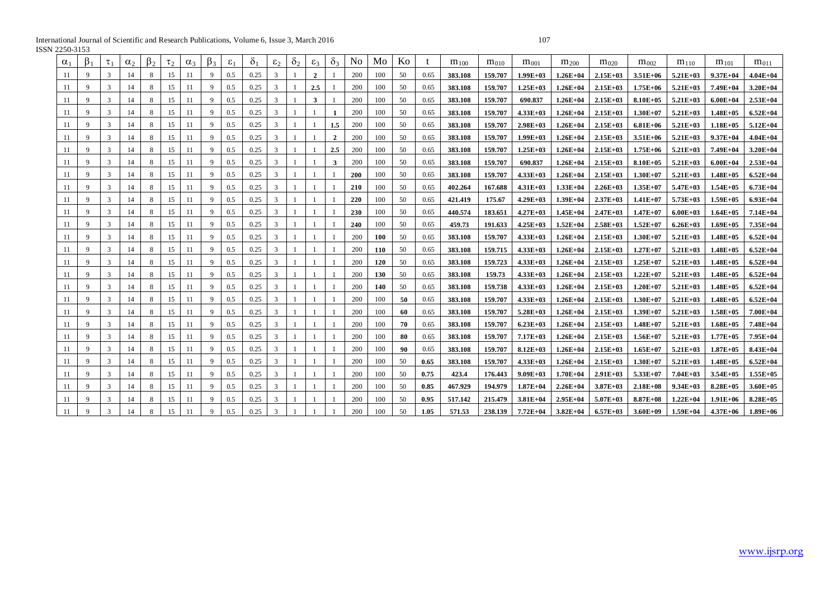International Journal of Scientific and Research Publications, Volume 6, Issue 3, March 2016 107 ISSN 2250-3153

| $\alpha_1$ | $\beta_1$    | $\tau_1$ | $\alpha$ | Þ۶ | $\tau$ <sub>2</sub> | $\alpha_3$ | $\beta_3$ | $\varepsilon_1$ | $\delta_1$ | $\epsilon_2$ | $\delta_2$ | $\epsilon_3$ | $\delta_3$   | N <sub>o</sub> | Mo         | Ko  |      | $m_{100}$ | $m_{010}$ | $m_{001}$    | $m_{200}$    | $m_{020}$    | $m_{002}$    | $m_{110}$    | $m_{101}$     | $m_{011}$    |
|------------|--------------|----------|----------|----|---------------------|------------|-----------|-----------------|------------|--------------|------------|--------------|--------------|----------------|------------|-----|------|-----------|-----------|--------------|--------------|--------------|--------------|--------------|---------------|--------------|
| 11         | $\mathbf{Q}$ | 3        | 14       | 8  | 15                  | 11         | 9         | 0.5             | 0.25       | 3            |            | $\mathbf{2}$ |              | 200            | 100        | 50  | 0.65 | 383.108   | 159.707   | $1.99E+03$   | $1.26E + 04$ | $2.15E+03$   | $3.51E+06$   | $5.21E+03$   | $9.37E + 04$  | $4.04E + 04$ |
| 11         | $\mathbf{Q}$ | 3        | 14       | 8  | 15                  | 11         | 9         | 0.5             | 0.25       | 3            |            | 2.5          |              | 200            | 100        | 50  | 0.65 | 383.108   | 159.707   | $1.25E+03$   | $1.26E + 04$ | $2.15E+03$   | $1.75E+06$   | $5.21E+03$   | 7.49E+04      | $3.20E + 04$ |
| 11         | 9            | 3        | 14       | 8  | 15                  | 11         | 9         | 0.5             | 0.25       | 3            |            | 3            |              | 200            | 100        | 50  | 0.65 | 383.108   | 159.707   | 690.837      | $1.26E + 04$ | $2.15E+03$   | $8.10E + 05$ | $5.21E+03$   | $6.00E + 04$  | $2.53E+04$   |
| 11         | 9            | 3        | 14       | 8  | 15                  | 11         | 9         | 0.5             | 0.25       | 3            |            |              |              | 200            | 100        | 50  | 0.65 | 383.108   | 159.707   | $4.33E+03$   | $1.26E+04$   | $2.15E+03$   | $1.30E+07$   | $5.21E+03$   | $1.48E+05$    | $6.52E+04$   |
| 11         | 9            | 3        | 14       | 8  | 15                  | 11         | 9         | 0.5             | 0.25       | 3            |            |              | 1.5          | 200            | 100        | 50  | 0.65 | 383.108   | 159.707   | $2.98E+03$   | $1.26E + 04$ | $2.15E+03$   | $6.81E + 06$ | $5.21E+03$   | $1.18E + 0.5$ | $5.12E+04$   |
| 11         | 9            | 3        | 14       | 8  | 15                  | 11         | 9         | 0.5             | 0.25       | 3            |            |              | $\mathbf{2}$ | 200            | 100        | 50  | 0.65 | 383.108   | 159.707   | $1.99E+03$   | $1.26E+04$   | $2.15E+03$   | $3.51E+06$   | $5.21E+03$   | $9.37E + 04$  | $4.04E + 04$ |
| 11         | 9            | 3        | 14       | 8  | 15                  | 11         | 9         | 0.5             | 0.25       | 3            |            |              | 2.5          | 200            | 100        | 50  | 0.65 | 383.108   | 159.707   | $1.25E+03$   | $1.26E + 04$ | $2.15E+03$   | $1.75E+06$   | $5.21E+03$   | 7.49E+04      | $3.20E + 04$ |
| 11         | 9            | 3        | 14       | 8  | 15                  | 11         | 9         | 0.5             | 0.25       | 3            |            |              | 3            | 200            | 100        | 50  | 0.65 | 383.108   | 159.707   | 690.837      | $1.26E + 04$ | $2.15E+03$   | $8.10E + 05$ | $5.21E+03$   | $6.00E + 04$  | $2.53E+04$   |
| 11         | $\mathbf{Q}$ | 3        | 14       | 8  | 15                  | 11         |           | 0.5             | 0.25       | 3            |            |              |              | <b>200</b>     | 100        | 50  | 0.65 | 383.108   | 159.707   | $4.33E+03$   | $1.26E + 04$ | $2.15E+03$   | $1.30E+07$   | $5.21E+03$   | $1.48E + 05$  | $6.52E + 04$ |
| 11         | $\mathbf{Q}$ | 3        | 14       | 8  | 15                  | 11         | 9         | 0.5             | 0.25       | 3            |            |              |              | 210            | 100        | 50  | 0.65 | 402.264   | 167.688   | $4.31E+03$   | $1.33E+04$   | $2.26E+03$   | $1.35E+07$   | $5.47E+03$   | $1.54E+05$    | $6.73E+04$   |
| 11         | 9            | 3        | 14       | 8  | 15                  | 11         | 9         | 0.5             | 0.25       | 3            |            |              |              | 220            | 100        | 50  | 0.65 | 421.419   | 175.67    | $4.29E+03$   | $1.39E+04$   | $2.37E+03$   | $1.41E+07$   | $5.73E+03$   | $1.59E+05$    | $6.93E+04$   |
| 11         | $\mathbf{Q}$ | 3        | 14       | 8  | 15                  | 11         | 9         | 0.5             | 0.25       | 3            |            |              |              | 230            | 100        | 50  | 0.65 | 440.574   | 183.651   | $4.27E+03$   | $1.45E+04$   | $2.47E+03$   | $1.47E+07$   | $6.00E + 03$ | $1.64E+05$    | $7.14E+04$   |
| 11         | $\mathbf{Q}$ | 3        | 14       | 8  | 15                  | 11         | 9         | 0.5             | 0.25       | 3            |            |              |              | 240            | 100        | 50  | 0.65 | 459.73    | 191.633   | $4.25E+03$   | $1.52E+04$   | $2.58E+03$   | $1.52E+07$   | $6.26E+03$   | $1.69E + 05$  | 7.35E+04     |
| 11         | 9            | 3        | 14       | 8  | 15                  | 11         | 9         | 0.5             | 0.25       | 3            |            |              |              | 200            | <b>100</b> | 50  | 0.65 | 383.108   | 159.707   | $4.33E+03$   | $1.26E + 04$ | $2.15E+03$   | $1.30E+07$   | $5.21E+03$   | $1.48E + 05$  | $6.52E+04$   |
| 11         | 9            | 3        | 14       | 8  | 15                  | 11         | 9         | 0.5             | 0.25       | 3            |            |              |              | 200            | 110        | 50  | 0.65 | 383.108   | 159.715   | $4.33E+03$   | $1.26E + 04$ | $2.15E+03$   | $1.27E+07$   | $5.21E+03$   | $1.48E + 05$  | $6.52E+04$   |
| 11         | 9            | 3        | 14       | 8  | 15                  | 11         | 9         | 0.5             | 0.25       |              |            |              |              | 200            | 120        | 50  | 0.65 | 383.108   | 159.723   | $4.33E+03$   | $1.26E+04$   | $2.15E+03$   | $1.25E+07$   | $5.21E+03$   | $1.48E + 0.5$ | $6.52E+04$   |
| 11         | 9            | 3        | 14       | 8  | 15                  | 11         | 9         | 0.5             | 0.25       | 3            |            |              |              | 200            | 130        | 50  | 0.65 | 383.108   | 159.73    | $4.33E+03$   | $1.26E + 04$ | $2.15E+03$   | $1.22E+07$   | $5.21E+03$   | $1.48E+05$    | $6.52E+04$   |
| 11         | 9            | 3        | 14       | 8  | 15                  | 11         | 9         | 0.5             | 0.25       | 3            |            |              |              | 200            | 140        | 50  | 0.65 | 383.108   | 159.738   | $4.33E+03$   | $1.26E + 04$ | $2.15E+03$   | $1.20E+07$   | $5.21E+03$   | $1.48E+05$    | $6.52E + 04$ |
| 11         | 9            | 3        | 14       | 8  | 15                  | 11         | 9         | 0.5             | 0.25       | 3            |            |              |              | 200            | 100        | -50 | 0.65 | 383.108   | 159.707   | $4.33E+03$   | $1.26E + 04$ | $2.15E+03$   | $1.30E+07$   | $5.21E+03$   | $1.48E+05$    | $6.52E+04$   |
| 11         | 9            | 3        | 14       | 8  | 15                  | 11         | 9         | 0.5             | 0.25       | 3            |            |              |              | 200            | 100        | -60 | 0.65 | 383.108   | 159.707   | $5.28E+03$   | $1.26E + 04$ | $2.15E+03$   | $1.39E+07$   | $5.21E+03$   | $1.58E + 0.5$ | $7.00E + 04$ |
| 11         | 9            | 3        | 14       | 8  | 15                  | 11         | 9         | 0.5             | 0.25       | 3            |            |              |              | 200            | 100        | 70  | 0.65 | 383.108   | 159.707   | $6.23E+03$   | $1.26E + 04$ | $2.15E+03$   | $1.48E+07$   | $5.21E+03$   | $1.68E + 0.5$ | 7.48E+04     |
| 11         | $\mathbf{Q}$ | 3        | 14       | 8  | 15                  | 11         | 9         | 0.5             | 0.25       | 3            |            |              |              | 200            | 100        | 80  | 0.65 | 383.108   | 159.707   | $7.17E+03$   | $1.26E+04$   | $2.15E+03$   | $1.56E+07$   | $5.21E+03$   | $1.77E + 0.5$ | $7.95E+04$   |
| 11         | 9            | 3        | 14       | 8  | 15                  | 11         | 9         | 0.5             | 0.25       | 3            |            |              |              | 200            | 100        | -90 | 0.65 | 383.108   | 159.707   | $8.12E+03$   | $1.26E + 04$ | $2.15E+03$   | $1.65E+07$   | $5.21E+03$   | $1.87E+05$    | $8.43E+04$   |
| 11         | $\mathbf{Q}$ | 3        | 14       | 8  | 15                  | 11         | 9         | 0.5             | 0.25       | 3            |            |              |              | 200            | 100        | 50  | 0.65 | 383.108   | 159.707   | $4.33E+03$   | $1.26E + 04$ | $2.15E+03$   | $1.30E+07$   | $5.21E+03$   | $1.48E+05$    | $6.52E+04$   |
| 11         | $\mathbf{Q}$ | 3        | 14       | 8  | 15                  | 11         | 9         | 0.5             | 0.25       | 3            |            |              |              | 200            | 100        | 50  | 0.75 | 423.4     | 176.443   | $9.09E + 03$ | $1.70E + 04$ | $2.91E+03$   | $5.33E+07$   | $7.04E + 03$ | $3.54E+05$    | $1.55E+05$   |
| 11         | 9            | 3        | 14       | 8  | 15                  | 11         | 9         | 0.5             | 0.25       | 3            |            |              |              | 200            | 100        | 50  | 0.85 | 467.929   | 194.979   | $1.87E + 04$ | $2.26E+04$   | $3.87E+03$   | $2.18E+08$   | $9.34E+03$   | $8.28E + 0.5$ | $3.60E + 05$ |
| 11         | $\mathbf Q$  | 3        | 14       | 8  | 15                  |            | 9         | 0.5             | 0.25       |              |            |              |              | 200            | 100        | 50  | 0.95 | 517.142   | 215.479   | $3.81E+04$   | $2.95E+04$   | $5.07E + 03$ | $8.87E+08$   | $1.22E+04$   | $1.91E+06$    | $8.28E+05$   |
| 11         | $\mathbf Q$  | 3        | 14       | 8  | 15                  | 11         | 9         | 0.5             | 0.25       |              |            |              |              | 200            | 100        | 50  | 1.05 | 571.53    | 238.139   | $7.72E + 04$ | $3.82E+04$   | $6.57E+03$   | $3.60E + 09$ | $1.59E+04$   | $4.37E+06$    | $1.89E + 06$ |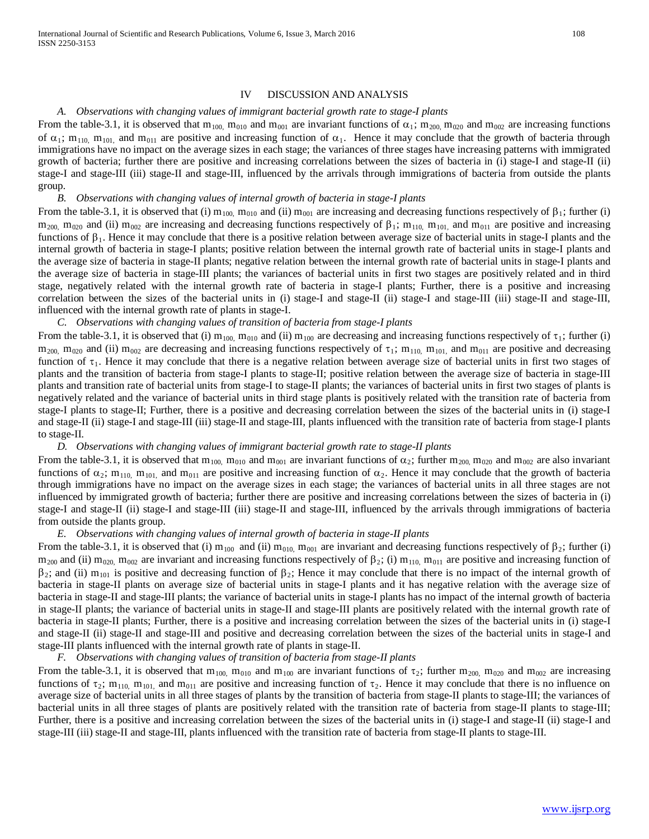#### IV DISCUSSION AND ANALYSIS

#### *A. Observations with changing values of immigrant bacterial growth rate to stage-I plants*

From the table-3.1, it is observed that  $m_{100}$ ,  $m_{010}$  and  $m_{001}$  are invariant functions of  $\alpha_1$ ;  $m_{200}$ ,  $m_{020}$  and  $m_{002}$  are increasing functions of  $\alpha_1$ ; m<sub>110</sub>, m<sub>101</sub>, and m<sub>011</sub> are positive and increasing function of  $\alpha_1$ . Hence it may conclude that the growth of bacteria through immigrations have no impact on the average sizes in each stage; the variances of three stages have increasing patterns with immigrated growth of bacteria; further there are positive and increasing correlations between the sizes of bacteria in (i) stage-I and stage-II (ii) stage-I and stage-III (iii) stage-II and stage-III, influenced by the arrivals through immigrations of bacteria from outside the plants group.

# *B. Observations with changing values of internal growth of bacteria in stage-I plants*

From the table-3.1, it is observed that (i)  $m_{100}$ ,  $m_{010}$  and (ii)  $m_{001}$  are increasing and decreasing functions respectively of  $\beta_1$ ; further (i)  $m_{200}$ ,  $m_{020}$  and (ii)  $m_{002}$  are increasing and decreasing functions respectively of β<sub>1</sub>; m<sub>110</sub>, m<sub>101</sub>, and m<sub>011</sub> are positive and increasing functions of  $\beta_1$ . Hence it may conclude that there is a positive relation between average size of bacterial units in stage-I plants and the internal growth of bacteria in stage-I plants; positive relation between the internal growth rate of bacterial units in stage-I plants and the average size of bacteria in stage-II plants; negative relation between the internal growth rate of bacterial units in stage-I plants and the average size of bacteria in stage-III plants; the variances of bacterial units in first two stages are positively related and in third stage, negatively related with the internal growth rate of bacteria in stage-I plants; Further, there is a positive and increasing correlation between the sizes of the bacterial units in (i) stage-I and stage-II (ii) stage-I and stage-III (iii) stage-II and stage-III, influenced with the internal growth rate of plants in stage-I.

#### *C. Observations with changing values of transition of bacteria from stage-I plants*

From the table-3.1, it is observed that (i)  $m_{100}$ ,  $m_{010}$  and (ii)  $m_{100}$  are decreasing and increasing functions respectively of  $\tau_1$ ; further (i)  $m_{200}$ ,  $m_{020}$  and (ii)  $m_{002}$  are decreasing and increasing functions respectively of  $\tau_1$ ;  $m_{110}$ ,  $m_{101}$ , and  $m_{011}$  are positive and decreasing function of  $\tau_1$ . Hence it may conclude that there is a negative relation between average size of bacterial units in first two stages of plants and the transition of bacteria from stage-I plants to stage-II; positive relation between the average size of bacteria in stage-III plants and transition rate of bacterial units from stage-I to stage-II plants; the variances of bacterial units in first two stages of plants is negatively related and the variance of bacterial units in third stage plants is positively related with the transition rate of bacteria from stage-I plants to stage-II; Further, there is a positive and decreasing correlation between the sizes of the bacterial units in (i) stage-I and stage-II (ii) stage-I and stage-III (iii) stage-II and stage-III, plants influenced with the transition rate of bacteria from stage-I plants to stage-II.

#### *D. Observations with changing values of immigrant bacterial growth rate to stage-II plants*

From the table-3.1, it is observed that  $m_{100}$ ,  $m_{010}$  and  $m_{001}$  are invariant functions of  $\alpha_2$ ; further  $m_{200}$ ,  $m_{020}$  and  $m_{002}$  are also invariant functions of  $\alpha_2$ ; m<sub>110</sub>, m<sub>101</sub>, and m<sub>011</sub> are positive and increasing function of  $\alpha_2$ . Hence it may conclude that the growth of bacteria through immigrations have no impact on the average sizes in each stage; the variances of bacterial units in all three stages are not influenced by immigrated growth of bacteria; further there are positive and increasing correlations between the sizes of bacteria in (i) stage-I and stage-II (ii) stage-I and stage-III (iii) stage-II and stage-III, influenced by the arrivals through immigrations of bacteria from outside the plants group.

#### *E. Observations with changing values of internal growth of bacteria in stage-II plants*

From the table-3.1, it is observed that (i)  $m_{100}$  and (ii)  $m_{010}$  m<sub>001</sub> are invariant and decreasing functions respectively of  $\beta_2$ ; further (i)  $m_{200}$  and (ii)  $m_{020}$ ,  $m_{002}$  are invariant and increasing functions respectively of  $\beta_2$ ; (i)  $m_{110}$ ,  $m_{011}$  are positive and increasing function of  $\beta_2$ ; and (ii) m<sub>101</sub> is positive and decreasing function of  $\beta_2$ ; Hence it may conclude that there is no impact of the internal growth of bacteria in stage-II plants on average size of bacterial units in stage-I plants and it has negative relation with the average size of bacteria in stage-II and stage-III plants; the variance of bacterial units in stage-I plants has no impact of the internal growth of bacteria in stage-II plants; the variance of bacterial units in stage-II and stage-III plants are positively related with the internal growth rate of bacteria in stage-II plants; Further, there is a positive and increasing correlation between the sizes of the bacterial units in (i) stage-I and stage-II (ii) stage-II and stage-III and positive and decreasing correlation between the sizes of the bacterial units in stage-I and stage-III plants influenced with the internal growth rate of plants in stage-II.

### *F. Observations with changing values of transition of bacteria from stage-II plants*

From the table-3.1, it is observed that m<sub>100</sub>, m<sub>010</sub> and m<sub>100</sub> are invariant functions of  $\tau_2$ ; further m<sub>200</sub>, m<sub>020</sub> and m<sub>002</sub> are increasing functions of  $\tau_2$ ; m<sub>110</sub>, m<sub>101</sub>, and m<sub>011</sub> are positive and increasing function of  $\tau_2$ . Hence it may conclude that there is no influence on average size of bacterial units in all three stages of plants by the transition of bacteria from stage-II plants to stage-III; the variances of bacterial units in all three stages of plants are positively related with the transition rate of bacteria from stage-II plants to stage-III; Further, there is a positive and increasing correlation between the sizes of the bacterial units in (i) stage-I and stage-II (ii) stage-I and stage-III (iii) stage-II and stage-III, plants influenced with the transition rate of bacteria from stage-II plants to stage-III.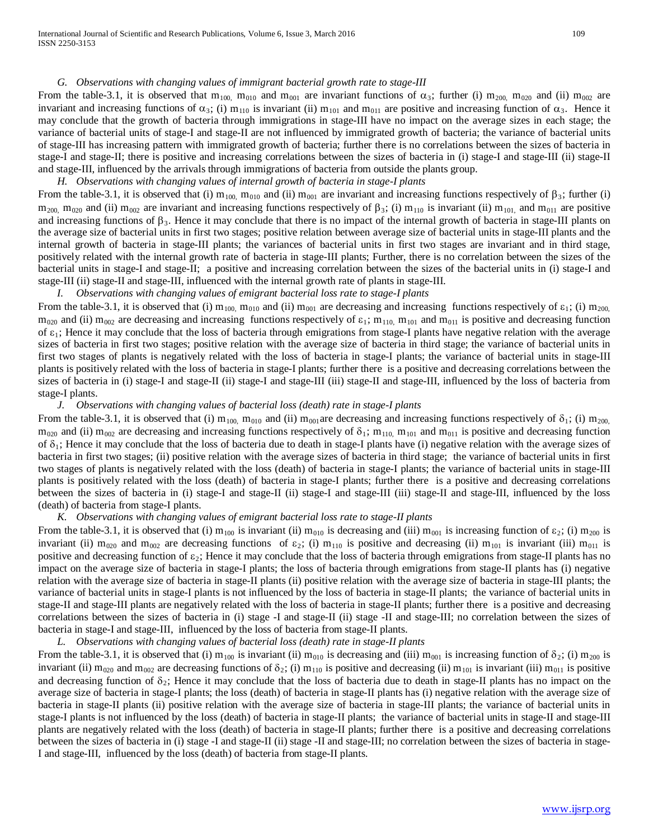#### *G. Observations with changing values of immigrant bacterial growth rate to stage-III*

From the table-3.1, it is observed that  $m_{100}$ ,  $m_{010}$  and  $m_{001}$  are invariant functions of  $\alpha_3$ ; further (i)  $m_{200}$ ,  $m_{020}$  and (ii)  $m_{002}$  are invariant and increasing functions of  $\alpha_3$ ; (i)  $m_{110}$  is invariant (ii)  $m_{101}$  and  $m_{011}$  are positive and increasing function of  $\alpha_3$ . Hence it may conclude that the growth of bacteria through immigrations in stage-III have no impact on the average sizes in each stage; the variance of bacterial units of stage-I and stage-II are not influenced by immigrated growth of bacteria; the variance of bacterial units of stage-III has increasing pattern with immigrated growth of bacteria; further there is no correlations between the sizes of bacteria in stage-I and stage-II; there is positive and increasing correlations between the sizes of bacteria in (i) stage-I and stage-III (ii) stage-II and stage-III, influenced by the arrivals through immigrations of bacteria from outside the plants group.

*H. Observations with changing values of internal growth of bacteria in stage-I plants*

From the table-3.1, it is observed that (i)  $m_{100}$ ,  $m_{010}$  and (ii)  $m_{001}$  are invariant and increasing functions respectively of  $\beta_3$ ; further (i)  $m_{200}$ ,  $m_{020}$  and (ii)  $m_{002}$  are invariant and increasing functions respectively of β<sub>3</sub>; (i)  $m_{101}$  is invariant (ii)  $m_{101}$ , and  $m_{011}$  are positive and increasing functions of  $\beta_3$ . Hence it may conclude that there is no impact of the internal growth of bacteria in stage-III plants on the average size of bacterial units in first two stages; positive relation between average size of bacterial units in stage-III plants and the internal growth of bacteria in stage-III plants; the variances of bacterial units in first two stages are invariant and in third stage, positively related with the internal growth rate of bacteria in stage-III plants; Further, there is no correlation between the sizes of the bacterial units in stage-I and stage-II; a positive and increasing correlation between the sizes of the bacterial units in (i) stage-I and stage-III (ii) stage-II and stage-III, influenced with the internal growth rate of plants in stage-III.

*I. Observations with changing values of emigrant bacterial loss rate to stage-I plants*

From the table-3.1, it is observed that (i)  $m_{100}$ ,  $m_{010}$  and (ii)  $m_{001}$  are decreasing and increasing functions respectively of  $\varepsilon_1$ ; (i)  $m_{200}$  $m_{020}$  and (ii)  $m_{002}$  are decreasing and increasing functions respectively of  $\varepsilon_1$ ;  $m_{110}$ ,  $m_{101}$  and  $m_{011}$  is positive and decreasing function of  $\varepsilon_1$ ; Hence it may conclude that the loss of bacteria through emigrations from stage-I plants have negative relation with the average sizes of bacteria in first two stages; positive relation with the average size of bacteria in third stage; the variance of bacterial units in first two stages of plants is negatively related with the loss of bacteria in stage-I plants; the variance of bacterial units in stage-III plants is positively related with the loss of bacteria in stage-I plants; further there is a positive and decreasing correlations between the sizes of bacteria in (i) stage-I and stage-II (ii) stage-III (iii) stage-III and stage-III, influenced by the loss of bacteria from stage-I plants.

# *J. Observations with changing values of bacterial loss (death) rate in stage-I plants*

From the table-3.1, it is observed that (i)  $m_{100}$ ,  $m_{010}$  and (ii)  $m_{001}$  are decreasing and increasing functions respectively of  $\delta_1$ ; (i)  $m_{200}$ ,  $m_{020}$  and (ii)  $m_{002}$  are decreasing and increasing functions respectively of  $\delta_1$ ;  $m_{110}$ ,  $m_{101}$  and  $m_{011}$  is positive and decreasing function of  $\delta_1$ ; Hence it may conclude that the loss of bacteria due to death in stage-I plants have (i) negative relation with the average sizes of bacteria in first two stages; (ii) positive relation with the average sizes of bacteria in third stage; the variance of bacterial units in first two stages of plants is negatively related with the loss (death) of bacteria in stage-I plants; the variance of bacterial units in stage-III plants is positively related with the loss (death) of bacteria in stage-I plants; further there is a positive and decreasing correlations between the sizes of bacteria in (i) stage-I and stage-II (ii) stage-I and stage-III (iii) stage-II and stage-III, influenced by the loss (death) of bacteria from stage-I plants.

# *K. Observations with changing values of emigrant bacterial loss rate to stage-II plants*

From the table-3.1, it is observed that (i)  $m_{100}$  is invariant (ii)  $m_{010}$  is decreasing and (iii)  $m_{001}$  is increasing function of  $\varepsilon_2$ ; (i)  $m_{200}$  is invariant (ii)  $m_{020}$  and  $m_{002}$  are decreasing functions of  $\varepsilon_2$ ; (i)  $m_{110}$  is positive and decreasing (ii)  $m_{101}$  is invariant (iii)  $m_{011}$  is positive and decreasing function of  $\varepsilon_2$ ; Hence it may conclude that the loss of bacteria through emigrations from stage-II plants has no impact on the average size of bacteria in stage-I plants; the loss of bacteria through emigrations from stage-II plants has (i) negative relation with the average size of bacteria in stage-II plants (ii) positive relation with the average size of bacteria in stage-III plants; the variance of bacterial units in stage-I plants is not influenced by the loss of bacteria in stage-II plants; the variance of bacterial units in stage-II and stage-III plants are negatively related with the loss of bacteria in stage-II plants; further there is a positive and decreasing correlations between the sizes of bacteria in (i) stage -I and stage-II (ii) stage -II and stage-III; no correlation between the sizes of bacteria in stage-I and stage-III, influenced by the loss of bacteria from stage-II plants.

# *L. Observations with changing values of bacterial loss (death) rate in stage-II plants*

From the table-3.1, it is observed that (i)  $m_{100}$  is invariant (ii)  $m_{010}$  is decreasing and (iii)  $m_{001}$  is increasing function of  $\delta_2$ ; (i)  $m_{200}$  is invariant (ii) m<sub>020</sub> and m<sub>002</sub> are decreasing functions of  $\delta_2$ ; (i) m<sub>110</sub> is positive and decreasing (ii) m<sub>101</sub> is invariant (iii) m<sub>011</sub> is positive and decreasing function of  $\delta_2$ ; Hence it may conclude that the loss of bacteria due to death in stage-II plants has no impact on the average size of bacteria in stage-I plants; the loss (death) of bacteria in stage-II plants has (i) negative relation with the average size of bacteria in stage-II plants (ii) positive relation with the average size of bacteria in stage-III plants; the variance of bacterial units in stage-I plants is not influenced by the loss (death) of bacteria in stage-II plants; the variance of bacterial units in stage-II and stage-III plants are negatively related with the loss (death) of bacteria in stage-II plants; further there is a positive and decreasing correlations between the sizes of bacteria in (i) stage -I and stage-II (ii) stage -II and stage-III; no correlation between the sizes of bacteria in stage-I and stage-III, influenced by the loss (death) of bacteria from stage-II plants.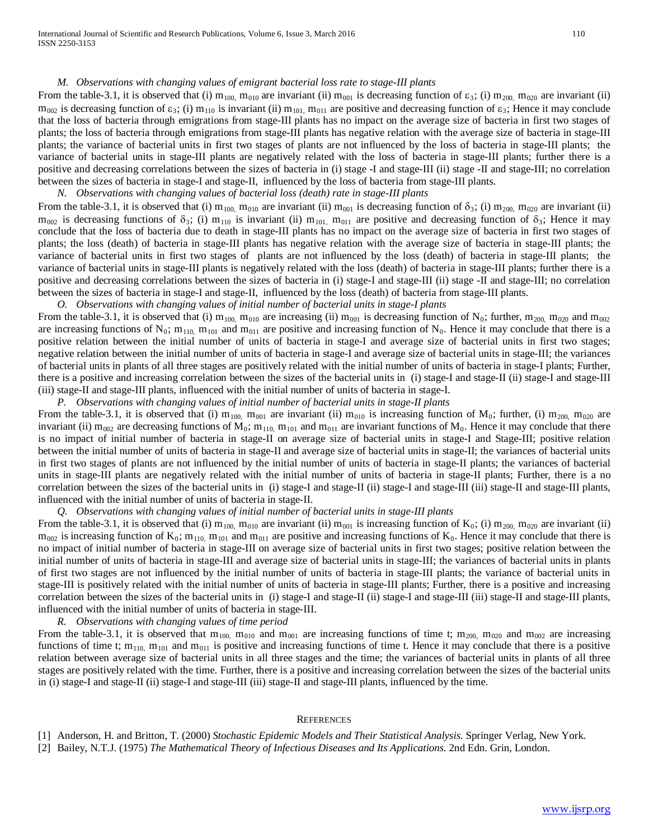#### *M. Observations with changing values of emigrant bacterial loss rate to stage-III plants*

From the table-3.1, it is observed that (i)  $m_{100}$  m<sub>010</sub> are invariant (ii)  $m_{001}$  is decreasing function of  $\epsilon_3$ ; (i)  $m_{200}$ ,  $m_{020}$  are invariant (ii)  $m_{002}$  is decreasing function of  $\varepsilon_3$ ; (i)  $m_{110}$  is invariant (ii)  $m_{101}$ ,  $m_{011}$  are positive and decreasing function of  $\varepsilon_3$ ; Hence it may conclude that the loss of bacteria through emigrations from stage-III plants has no impact on the average size of bacteria in first two stages of plants; the loss of bacteria through emigrations from stage-III plants has negative relation with the average size of bacteria in stage-III plants; the variance of bacterial units in first two stages of plants are not influenced by the loss of bacteria in stage-III plants; the variance of bacterial units in stage-III plants are negatively related with the loss of bacteria in stage-III plants; further there is a positive and decreasing correlations between the sizes of bacteria in (i) stage -I and stage-III (ii) stage -II and stage-III; no correlation between the sizes of bacteria in stage-I and stage-II, influenced by the loss of bacteria from stage-III plants.

# *N. Observations with changing values of bacterial loss (death) rate in stage-III plants*

From the table-3.1, it is observed that (i)  $m_{100}$ ,  $m_{010}$  are invariant (ii)  $m_{001}$  is decreasing function of  $\delta_3$ ; (i)  $m_{200}$ ,  $m_{020}$  are invariant (ii)  $m_{002}$  is decreasing functions of  $\delta_3$ ; (i)  $m_{110}$  is invariant (ii)  $m_{101}$ ,  $m_{011}$  are positive and decreasing function of  $\delta_3$ ; Hence it may conclude that the loss of bacteria due to death in stage-III plants has no impact on the average size of bacteria in first two stages of plants; the loss (death) of bacteria in stage-III plants has negative relation with the average size of bacteria in stage-III plants; the variance of bacterial units in first two stages of plants are not influenced by the loss (death) of bacteria in stage-III plants; the variance of bacterial units in stage-III plants is negatively related with the loss (death) of bacteria in stage-III plants; further there is a positive and decreasing correlations between the sizes of bacteria in (i) stage-I and stage-III (ii) stage -II and stage-III; no correlation between the sizes of bacteria in stage-I and stage-II, influenced by the loss (death) of bacteria from stage-III plants.

*O. Observations with changing values of initial number of bacterial units in stage-I plants*

From the table-3.1, it is observed that (i)  $m_{100}$ ,  $m_{010}$  are increasing (ii)  $m_{001}$  is decreasing function of N<sub>0</sub>; further,  $m_{200}$ ,  $m_{020}$  and  $m_{002}$ are increasing functions of  $N_0$ ;  $m_{110}$ ,  $m_{101}$  and  $m_{011}$  are positive and increasing function of  $N_0$ . Hence it may conclude that there is a positive relation between the initial number of units of bacteria in stage-I and average size of bacterial units in first two stages; negative relation between the initial number of units of bacteria in stage-I and average size of bacterial units in stage-III; the variances of bacterial units in plants of all three stages are positively related with the initial number of units of bacteria in stage-I plants; Further, there is a positive and increasing correlation between the sizes of the bacterial units in (i) stage-I and stage-II (ii) stage-I and stage-III (iii) stage-II and stage-III plants, influenced with the initial number of units of bacteria in stage-I.

*P. Observations with changing values of initial number of bacterial units in stage-II plants*

From the table-3.1, it is observed that (i)  $m_{100}$ ,  $m_{001}$  are invariant (ii)  $m_{010}$  is increasing function of  $M_0$ ; further, (i)  $m_{200}$ ,  $m_{020}$  are invariant (ii) m<sub>002</sub> are decreasing functions of M<sub>0</sub>; m<sub>110</sub>, m<sub>101</sub> and m<sub>011</sub> are invariant functions of M<sub>0</sub>. Hence it may conclude that there is no impact of initial number of bacteria in stage-II on average size of bacterial units in stage-I and Stage-III; positive relation between the initial number of units of bacteria in stage-II and average size of bacterial units in stage-II; the variances of bacterial units in first two stages of plants are not influenced by the initial number of units of bacteria in stage-II plants; the variances of bacterial units in stage-III plants are negatively related with the initial number of units of bacteria in stage-II plants; Further, there is a no correlation between the sizes of the bacterial units in (i) stage-I and stage-II (ii) stage-II and stage-III and stage-III plants, influenced with the initial number of units of bacteria in stage-II.

# *Q. Observations with changing values of initial number of bacterial units in stage-III plants*

From the table-3.1, it is observed that (i)  $m_{100}$ ,  $m_{010}$  are invariant (ii)  $m_{001}$  is increasing function of K<sub>0</sub>; (i)  $m_{200}$ ,  $m_{020}$  are invariant (ii)  $m_{002}$  is increasing function of K<sub>0</sub>; m<sub>110</sub>, m<sub>101</sub> and m<sub>011</sub> are positive and increasing functions of K<sub>0</sub>. Hence it may conclude that there is no impact of initial number of bacteria in stage-III on average size of bacterial units in first two stages; positive relation between the initial number of units of bacteria in stage-III and average size of bacterial units in stage-III; the variances of bacterial units in plants of first two stages are not influenced by the initial number of units of bacteria in stage-III plants; the variance of bacterial units in stage-III is positively related with the initial number of units of bacteria in stage-III plants; Further, there is a positive and increasing correlation between the sizes of the bacterial units in (i) stage-I and stage-II (ii) stage-II and stage-III and stage-III plants, influenced with the initial number of units of bacteria in stage-III.

*R. Observations with changing values of time period*

From the table-3.1, it is observed that  $m_{100}$ ,  $m_{010}$  and  $m_{001}$  are increasing functions of time t;  $m_{200}$ ,  $m_{020}$  and  $m_{002}$  are increasing functions of time t;  $m_{110}$ ,  $m_{101}$  and  $m_{011}$  is positive and increasing functions of time t. Hence it may conclude that there is a positive relation between average size of bacterial units in all three stages and the time; the variances of bacterial units in plants of all three stages are positively related with the time. Further, there is a positive and increasing correlation between the sizes of the bacterial units in (i) stage-I and stage-II (ii) stage-I and stage-III (iii) stage-II and stage-III plants, influenced by the time.

#### **REFERENCES**

[1] Anderson, H. and Britton, T. (2000) *Stochastic Epidemic Models and Their Statistical Analysis.* Springer Verlag, New York. [2] Bailey, N.T.J. (1975) *The Mathematical Theory of Infectious Diseases and Its Applications.* 2nd Edn. Grin, London.